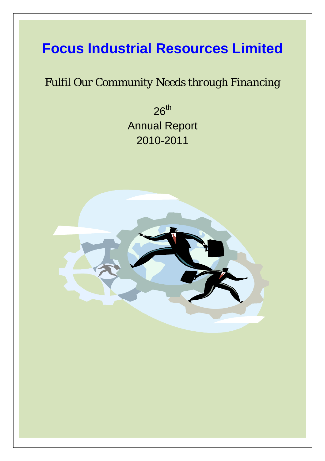## **Focus Industrial Resources Limited**

### *Fulfil Our Community Needs through Financing*

 $26<sup>th</sup>$ Annual Report 2010-2011

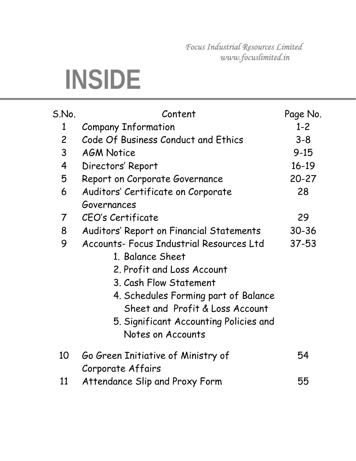*Focus Industrial Resources Limited www.focuslimited.in* 

# **INSIDE**

| S.No.                   | Content                                  | Page No.  |
|-------------------------|------------------------------------------|-----------|
| 1                       | <b>Company Information</b>               | $1 - 2$   |
| $\overline{2}$          | Code Of Business Conduct and Ethics      | $3 - 8$   |
| $\mathsf{3}$            | <b>AGM Notice</b>                        | $9 - 15$  |
| $\overline{\mathbf{r}}$ | Directors' Report                        | $16 - 19$ |
| 5                       | Report on Corporate Governance           | $20 - 27$ |
| 6                       | Auditors' Certificate on Corporate       | 28        |
|                         | Governances                              |           |
| 7                       | CEO's Certificate                        | 29        |
| 8                       | Auditors' Report on Financial Statements | $30 - 36$ |
| 9                       | Accounts- Focus Industrial Resources Ltd | $37 - 53$ |
|                         | 1. Balance Sheet                         |           |
|                         | 2. Profit and Loss Account               |           |
|                         | 3. Cash Flow Statement                   |           |
|                         | 4. Schedules Forming part of Balance     |           |
|                         | Sheet and Profit & Loss Account          |           |
|                         | 5. Significant Accounting Policies and   |           |
|                         | Notes on Accounts                        |           |
| 10                      | Go Green Initiative of Ministry of       | 54        |
|                         | Corporate Affairs                        |           |
| 11                      | Attendance Slip and Proxy Form           | 55        |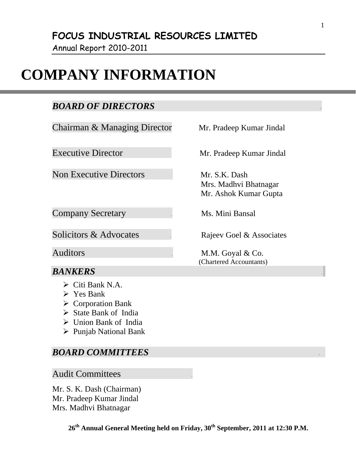Annual Report 2010-2011

### **COMPANY INFORMATION**

### *BOARD OF DIRECTORS .*

Chairman & Managing Director Mr. Pradeep Kumar Jindal

Non Executive Directors Mr. S.K. Dash

**Company Secretary ... Ms. Mini Bansal** 

Solicitors & Advocates . Rajeev Goel & Associates

### *BANKERS* .

- $\triangleright$  Citi Bank N.A.
- $\triangleright$  Yes Bank
- $\triangleright$  Corporation Bank
- $\triangleright$  State Bank of India
- $\triangleright$  Union Bank of India
- ¾ Punjab National Bank

#### *BOARD COMMITTEES .*

#### Audit Committees .

Mr. S. K. Dash (Chairman) Mr. Pradeep Kumar Jindal Mrs. Madhvi Bhatnagar

Executive Director Mr. Pradeep Kumar Jindal

 Mrs. Madhvi Bhatnagar Mr. Ashok Kumar Gupta

Auditors . M.M. Goyal & Co. (Chartered Accountants)

26<sup>th</sup> Annual General Meeting held on Friday, 30<sup>th</sup> September, 2011 at 12:30 P.M.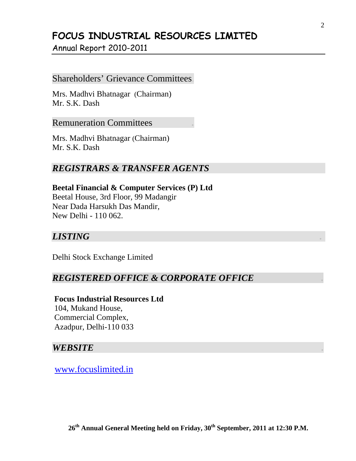Annual Report 2010-2011

#### Shareholders' Grievance Committees.

Mrs. Madhvi Bhatnagar (Chairman) Mr. S.K. Dash

Remuneration Committees *.*

Mrs. Madhvi Bhatnagar (Chairman) Mr. S.K. Dash

#### *REGISTRARS & TRANSFER AGENTS*

**Beetal Financial & Computer Services (P) Ltd**  Beetal House, 3rd Floor, 99 Madangir Near Dada Harsukh Das Mandir, New Delhi - 110 062.

#### *LISTING .*

Delhi Stock Exchange Limited

#### *REGISTERED OFFICE & CORPORATE OFFICE .*

 **Focus Industrial Resources Ltd**  104, Mukand House, Commercial Complex, Azadpur, Delhi-110 033

#### *WEBSITE .*

www.focuslimited.in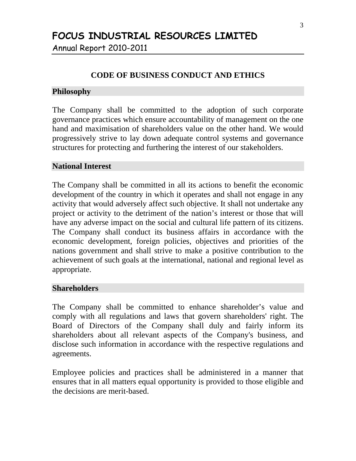Annual Report 2010-2011

#### **CODE OF BUSINESS CONDUCT AND ETHICS**

#### **Philosophy**

The Company shall be committed to the adoption of such corporate governance practices which ensure accountability of management on the one hand and maximisation of shareholders value on the other hand. We would progressively strive to lay down adequate control systems and governance structures for protecting and furthering the interest of our stakeholders.

#### **National Interest**

The Company shall be committed in all its actions to benefit the economic development of the country in which it operates and shall not engage in any activity that would adversely affect such objective. It shall not undertake any project or activity to the detriment of the nation's interest or those that will have any adverse impact on the social and cultural life pattern of its citizens. The Company shall conduct its business affairs in accordance with the economic development, foreign policies, objectives and priorities of the nations government and shall strive to make a positive contribution to the achievement of such goals at the international, national and regional level as appropriate.

#### **Shareholders**

The Company shall be committed to enhance shareholder's value and comply with all regulations and laws that govern shareholders' right. The Board of Directors of the Company shall duly and fairly inform its shareholders about all relevant aspects of the Company's business, and disclose such information in accordance with the respective regulations and agreements.

Employee policies and practices shall be administered in a manner that ensures that in all matters equal opportunity is provided to those eligible and the decisions are merit-based.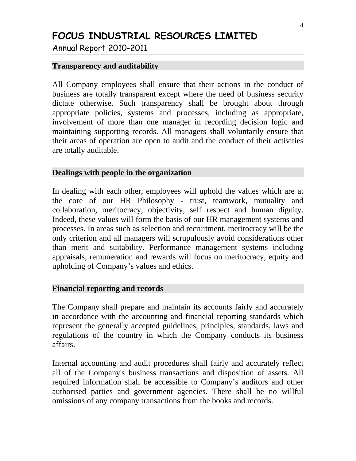Annual Report 2010-2011

#### **Transparency and auditability**

All Company employees shall ensure that their actions in the conduct of business are totally transparent except where the need of business security dictate otherwise. Such transparency shall be brought about through appropriate policies, systems and processes, including as appropriate, involvement of more than one manager in recording decision logic and maintaining supporting records. All managers shall voluntarily ensure that their areas of operation are open to audit and the conduct of their activities are totally auditable.

#### **Dealings with people in the organization**

In dealing with each other, employees will uphold the values which are at the core of our HR Philosophy - trust, teamwork, mutuality and collaboration, meritocracy, objectivity, self respect and human dignity. Indeed, these values will form the basis of our HR management systems and processes. In areas such as selection and recruitment, meritocracy will be the only criterion and all managers will scrupulously avoid considerations other than merit and suitability. Performance management systems including appraisals, remuneration and rewards will focus on meritocracy, equity and upholding of Company's values and ethics.

#### **Financial reporting and records**

The Company shall prepare and maintain its accounts fairly and accurately in accordance with the accounting and financial reporting standards which represent the generally accepted guidelines, principles, standards, laws and regulations of the country in which the Company conducts its business affairs.

Internal accounting and audit procedures shall fairly and accurately reflect all of the Company's business transactions and disposition of assets. All required information shall be accessible to Company's auditors and other authorised parties and government agencies. There shall be no willful omissions of any company transactions from the books and records.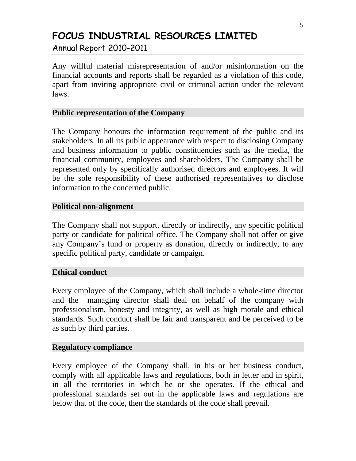Annual Report 2010-2011

Any willful material misrepresentation of and/or misinformation on the financial accounts and reports shall be regarded as a violation of this code, apart from inviting appropriate civil or criminal action under the relevant laws.

#### **Public representation of the Company**

The Company honours the information requirement of the public and its stakeholders. In all its public appearance with respect to disclosing Company and business information to public constituencies such as the media, the financial community, employees and shareholders, The Company shall be represented only by specifically authorised directors and employees. It will be the sole responsibility of these authorised representatives to disclose information to the concerned public.

#### **Political non-alignment**

The Company shall not support, directly or indirectly, any specific political party or candidate for political office. The Company shall not offer or give any Company's fund or property as donation, directly or indirectly, to any specific political party, candidate or campaign.

#### **Ethical conduct**

Every employee of the Company, which shall include a whole-time director and the managing director shall deal on behalf of the company with professionalism, honesty and integrity, as well as high morale and ethical standards. Such conduct shall be fair and transparent and be perceived to be as such by third parties.

#### **Regulatory compliance**

Every employee of the Company shall, in his or her business conduct, comply with all applicable laws and regulations, both in letter and in spirit, in all the territories in which he or she operates. If the ethical and professional standards set out in the applicable laws and regulations are below that of the code, then the standards of the code shall prevail.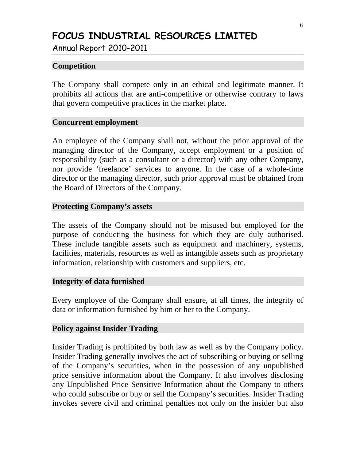Annual Report 2010-2011

#### **Competition**

The Company shall compete only in an ethical and legitimate manner. It prohibits all actions that are anti-competitive or otherwise contrary to laws that govern competitive practices in the market place.

#### **Concurrent employment**

An employee of the Company shall not, without the prior approval of the managing director of the Company, accept employment or a position of responsibility (such as a consultant or a director) with any other Company, nor provide 'freelance' services to anyone. In the case of a whole-time director or the managing director, such prior approval must be obtained from the Board of Directors of the Company.

#### **Protecting Company's assets**

The assets of the Company should not be misused but employed for the purpose of conducting the business for which they are duly authorised. These include tangible assets such as equipment and machinery, systems, facilities, materials, resources as well as intangible assets such as proprietary information, relationship with customers and suppliers, etc.

#### **Integrity of data furnished**

Every employee of the Company shall ensure, at all times, the integrity of data or information furnished by him or her to the Company.

#### **Policy against Insider Trading**

Insider Trading is prohibited by both law as well as by the Company policy. Insider Trading generally involves the act of subscribing or buying or selling of the Company's securities, when in the possession of any unpublished price sensitive information about the Company. It also involves disclosing any Unpublished Price Sensitive Information about the Company to others who could subscribe or buy or sell the Company's securities. Insider Trading invokes severe civil and criminal penalties not only on the insider but also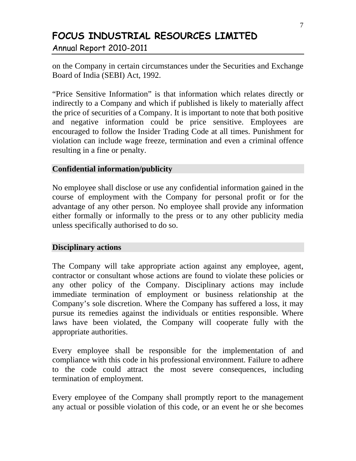Annual Report 2010-2011

on the Company in certain circumstances under the Securities and Exchange Board of India (SEBI) Act, 1992.

"Price Sensitive Information" is that information which relates directly or indirectly to a Company and which if published is likely to materially affect the price of securities of a Company. It is important to note that both positive and negative information could be price sensitive. Employees are encouraged to follow the Insider Trading Code at all times. Punishment for violation can include wage freeze, termination and even a criminal offence resulting in a fine or penalty.

#### **Confidential information/publicity**

No employee shall disclose or use any confidential information gained in the course of employment with the Company for personal profit or for the advantage of any other person. No employee shall provide any information either formally or informally to the press or to any other publicity media unless specifically authorised to do so.

#### **Disciplinary actions**

The Company will take appropriate action against any employee, agent, contractor or consultant whose actions are found to violate these policies or any other policy of the Company. Disciplinary actions may include immediate termination of employment or business relationship at the Company's sole discretion. Where the Company has suffered a loss, it may pursue its remedies against the individuals or entities responsible. Where laws have been violated, the Company will cooperate fully with the appropriate authorities.

Every employee shall be responsible for the implementation of and compliance with this code in his professional environment. Failure to adhere to the code could attract the most severe consequences, including termination of employment.

Every employee of the Company shall promptly report to the management any actual or possible violation of this code, or an event he or she becomes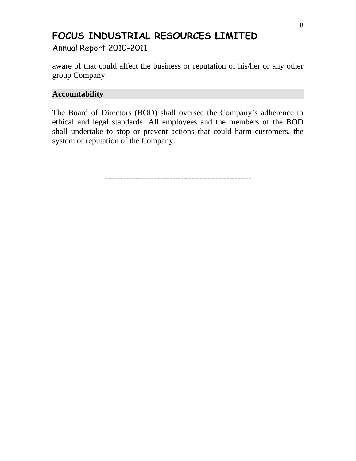Annual Report 2010-2011

aware of that could affect the business or reputation of his/her or any other group Company.

#### **Accountability**

The Board of Directors (BOD) shall oversee the Company's adherence to ethical and legal standards. All employees and the members of the BOD shall undertake to stop or prevent actions that could harm customers, the system or reputation of the Company.

------------------------------------------------------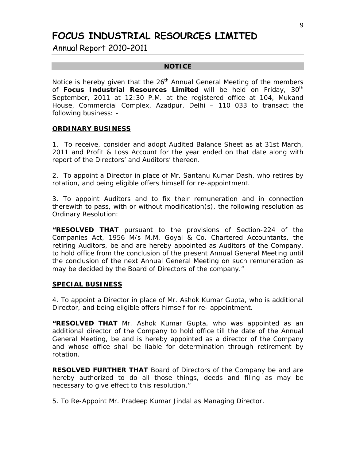Annual Report 2010-2011

#### **NOTICE**

Notice is hereby given that the  $26<sup>th</sup>$  Annual General Meeting of the members of **Focus Industrial Resources Limited** will be held on Friday, 30<sup>th</sup> September, 2011 at 12:30 P.M. at the registered office at 104, Mukand House, Commercial Complex, Azadpur, Delhi – 110 033 to transact the following business: -

#### **ORDINARY BUSINESS**

1. To receive, consider and adopt Audited Balance Sheet as at 31st March, 2011 and Profit & Loss Account for the year ended on that date along with report of the Directors' and Auditors' thereon.

2. To appoint a Director in place of Mr. Santanu Kumar Dash, who retires by rotation, and being eligible offers himself for re-appointment.

3. To appoint Auditors and to fix their remuneration and in connection therewith to pass, with or without modification(s), the following resolution as Ordinary Resolution:

**"RESOLVED THAT** pursuant to the provisions of Section-224 of the Companies Act, 1956 M/s M.M. Goyal & Co. Chartered Accountants, the retiring Auditors, be and are hereby appointed as Auditors of the Company, to hold office from the conclusion of the present Annual General Meeting until the conclusion of the next Annual General Meeting on such remuneration as may be decided by the Board of Directors of the company."

#### **SPECIAL BUSINESS**

4. To appoint a Director in place of Mr. Ashok Kumar Gupta, who is additional Director, and being eligible offers himself for re- appointment.

**"RESOLVED THAT** Mr. Ashok Kumar Gupta, who was appointed as an additional director of the Company to hold office till the date of the Annual General Meeting, be and is hereby appointed as a director of the Company and whose office shall be liable for determination through retirement by rotation.

**RESOLVED FURTHER THAT** Board of Directors of the Company be and are hereby authorized to do all those things, deeds and filing as may be necessary to give effect to this resolution."

5. To Re-Appoint Mr. Pradeep Kumar Jindal as Managing Director.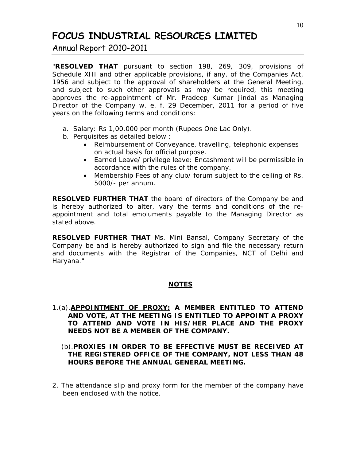Annual Report 2010-2011

"**RESOLVED THAT** pursuant to section 198, 269, 309, provisions of Schedule XIII and other applicable provisions, if any, of the Companies Act, 1956 and subject to the approval of shareholders at the General Meeting, and subject to such other approvals as may be required, this meeting approves the re-appointment of Mr. Pradeep Kumar Jindal as Managing Director of the Company w. e. f. 29 December, 2011 for a period of five years on the following terms and conditions:

- a. Salary: Rs 1,00,000 per month (Rupees One Lac Only).
- b. Perquisites as detailed below :
	- Reimbursement of Conveyance, travelling, telephonic expenses on actual basis for official purpose.
	- Earned Leave/ privilege leave: Encashment will be permissible in accordance with the rules of the company.
	- Membership Fees of any club/ forum subject to the ceiling of Rs. 5000/- per annum.

**RESOLVED FURTHER THAT** the board of directors of the Company be and is hereby authorized to alter, vary the terms and conditions of the reappointment and total emoluments payable to the Managing Director as stated above.

**RESOLVED FURTHER THAT** Ms. Mini Bansal, Company Secretary of the Company be and is hereby authorized to sign and file the necessary return and documents with the Registrar of the Companies, NCT of Delhi and Haryana."

#### *NOTES*

- 1.(a).**APPOINTMENT OF PROXY: A MEMBER ENTITLED TO ATTEND AND VOTE, AT THE MEETING IS ENTITLED TO APPOINT A PROXY TO ATTEND AND VOTE IN HIS/HER PLACE AND THE PROXY NEEDS NOT BE A MEMBER OF THE COMPANY.** 
	- (b).**PROXIES IN ORDER TO BE EFFECTIVE MUST BE RECEIVED AT THE REGISTERED OFFICE OF THE COMPANY, NOT LESS THAN 48 HOURS BEFORE THE ANNUAL GENERAL MEETING.**
- 2. The attendance slip and proxy form for the member of the company have been enclosed with the notice.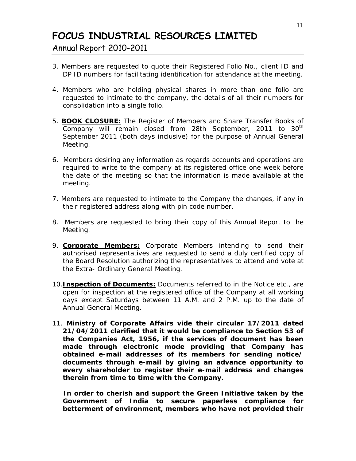Annual Report 2010-2011

- 3. Members are requested to quote their Registered Folio No., client ID and DP ID numbers for facilitating identification for attendance at the meeting.
- 4. Members who are holding physical shares in more than one folio are requested to intimate to the company, the details of all their numbers for consolidation into a single folio.
- 5. **BOOK CLOSURE:** The Register of Members and Share Transfer Books of Company will remain closed from 28th September, 2011 to 30<sup>th</sup> September 2011 (both days inclusive) for the purpose of Annual General Meeting.
- 6. Members desiring any information as regards accounts and operations are required to write to the company at its registered office one week before the date of the meeting so that the information is made available at the meeting.
- 7. Members are requested to intimate to the Company the changes, if any in their registered address along with pin code number.
- 8. Members are requested to bring their copy of this Annual Report to the Meeting.
- 9. **Corporate Members:** Corporate Members intending to send their authorised representatives are requested to send a duly certified copy of the Board Resolution authorizing the representatives to attend and vote at the Extra- Ordinary General Meeting.
- 10.**Inspection of Documents:** Documents referred to in the Notice etc., are open for inspection at the registered office of the Company at all working days except Saturdays between 11 A.M. and 2 P.M. up to the date of Annual General Meeting.
- 11. *Ministry of Corporate Affairs vide their circular 17/2011 dated 21/04/2011 clarified that it would be compliance to Section 53 of the Companies Act, 1956, if the services of document has been made through electronic mode providing that Company has obtained e-mail addresses of its members for sending notice/ documents through e-mail by giving an advance opportunity to every shareholder to register their e-mail address and changes therein from time to time with the Company.*

 *In order to cherish and support the Green Initiative taken by the Government of India to secure paperless compliance for betterment of environment, members who have not provided their*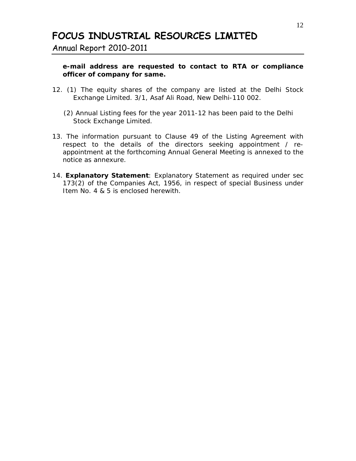Annual Report 2010-2011

#### *e-mail address are requested to contact to RTA or compliance officer of company for same.*

- 12. (1) The equity shares of the company are listed at the Delhi Stock Exchange Limited. 3/1, Asaf Ali Road, New Delhi-110 002.
	- (2) Annual Listing fees for the year 2011-12 has been paid to the Delhi Stock Exchange Limited.
- 13. The information pursuant to Clause 49 of the Listing Agreement with respect to the details of the directors seeking appointment / reappointment at the forthcoming Annual General Meeting is annexed to the notice as annexure.
- 14. **Explanatory Statement**: Explanatory Statement as required under sec 173(2) of the Companies Act, 1956, in respect of special Business under Item No. 4 & 5 is enclosed herewith.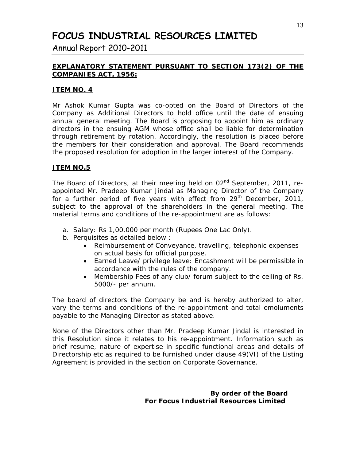Annual Report 2010-2011

#### **EXPLANATORY STATEMENT PURSUANT TO SECTION 173(2) OF THE COMPANIES ACT, 1956:**

#### **ITEM NO. 4**

Mr Ashok Kumar Gupta was co-opted on the Board of Directors of the Company as Additional Directors to hold office until the date of ensuing annual general meeting. The Board is proposing to appoint him as ordinary directors in the ensuing AGM whose office shall be liable for determination through retirement by rotation. Accordingly, the resolution is placed before the members for their consideration and approval. The Board recommends the proposed resolution for adoption in the larger interest of the Company.

#### **ITEM NO.5**

The Board of Directors, at their meeting held on 02<sup>nd</sup> September, 2011, reappointed Mr. Pradeep Kumar Jindal as Managing Director of the Company for a further period of five years with effect from  $29<sup>th</sup>$  December, 2011, subject to the approval of the shareholders in the general meeting. The material terms and conditions of the re-appointment are as follows:

- a. Salary: Rs 1,00,000 per month (Rupees One Lac Only).
- b. Perquisites as detailed below :
	- Reimbursement of Conveyance, travelling, telephonic expenses on actual basis for official purpose.
	- Earned Leave/ privilege leave: Encashment will be permissible in accordance with the rules of the company.
	- Membership Fees of any club/ forum subject to the ceiling of Rs. 5000/- per annum.

The board of directors the Company be and is hereby authorized to alter, vary the terms and conditions of the re-appointment and total emoluments payable to the Managing Director as stated above.

None of the Directors other than Mr. Pradeep Kumar Jindal is interested in this Resolution since it relates to his re-appointment. Information such as brief resume, nature of expertise in specific functional areas and details of Directorship etc as required to be furnished under clause 49(VI) of the Listing Agreement is provided in the section on Corporate Governance.

> **By order of the Board For Focus Industrial Resources Limited**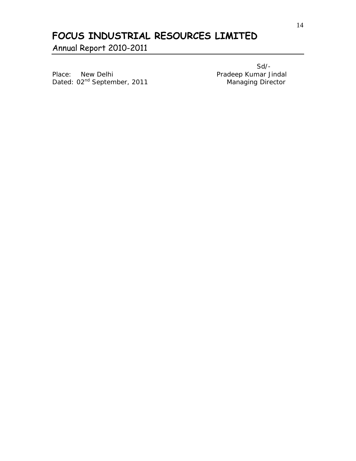Annual Report 2010-2011

Place: New Delhi Place: New Delhi Pradeep Kumar Jindal<br>Dated: 02<sup>nd</sup> September, 2011 Managing Director Dated: 02<sup>nd</sup> September, 2011

Sd/-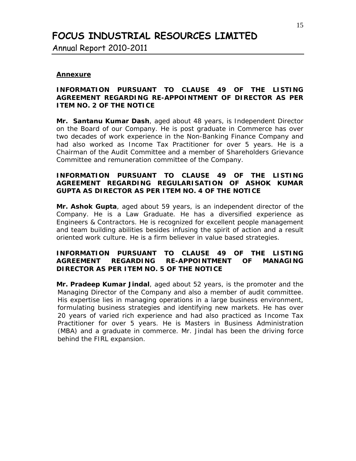Annual Report 2010-2011

#### **Annexure**

#### **INFORMATION PURSUANT TO CLAUSE 49 OF THE LISTING AGREEMENT REGARDING RE-APPOINTMENT OF DIRECTOR AS PER ITEM NO. 2 OF THE NOTICE**

**Mr. Santanu Kumar Dash**, aged about 48 years, is Independent Director on the Board of our Company. He is post graduate in Commerce has over two decades of work experience in the Non-Banking Finance Company and had also worked as Income Tax Practitioner for over 5 years. He is a Chairman of the Audit Committee and a member of Shareholders Grievance Committee and remuneration committee of the Company.

#### **INFORMATION PURSUANT TO CLAUSE 49 OF THE LISTING AGREEMENT REGARDING REGULARISATION OF ASHOK KUMAR GUPTA AS DIRECTOR AS PER ITEM NO. 4 OF THE NOTICE**

**Mr. Ashok Gupta**, aged about 59 years, is an independent director of the Company. He is a Law Graduate. He has a diversified experience as Engineers & Contractors. He is recognized for excellent people management and team building abilities besides infusing the spirit of action and a result oriented work culture. He is a firm believer in value based strategies.

#### **INFORMATION PURSUANT TO CLAUSE 49 OF THE LISTING AGREEMENT REGARDING RE-APPOINTMENT OF MANAGING DIRECTOR AS PER ITEM NO. 5 OF THE NOTICE**

**Mr. Pradeep Kumar Jindal**, aged about 52 years, is the promoter and the Managing Director of the Company and also a member of audit committee. His expertise lies in managing operations in a large business environment, formulating business strategies and identifying new markets. He has over 20 years of varied rich experience and had also practiced as Income Tax Practitioner for over 5 years. He is Masters in Business Administration (MBA) and a graduate in commerce. Mr. Jindal has been the driving force behind the FIRL expansion.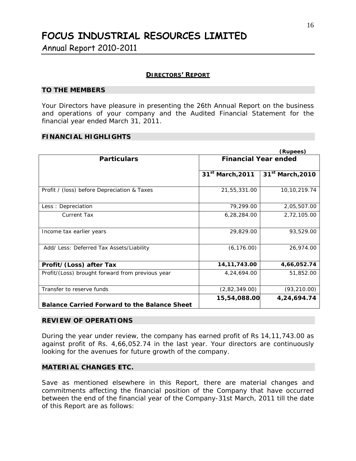Annual Report 2010-2011

#### **DIRECTORS' REPORT**

#### **TO THE MEMBERS**

Your Directors have pleasure in presenting the 26th Annual Report on the business and operations of your company and the Audited Financial Statement for the financial year ended March 31, 2011.

#### **FINANCIAL HIGHLIGHTS**

|                                                     |                              | (Rupees)                     |
|-----------------------------------------------------|------------------------------|------------------------------|
| <b>Particulars</b>                                  | <b>Financial Year ended</b>  |                              |
|                                                     | 31 <sup>st</sup> March, 2011 | 31 <sup>st</sup> March, 2010 |
| Profit / (loss) before Depreciation & Taxes         | 21,55,331.00                 | 10,10,219.74                 |
| Less: Depreciation                                  | 79,299.00                    | 2,05,507.00                  |
| <b>Current Tax</b>                                  | 6,28,284.00                  | 2,72,105.00                  |
| Income tax earlier years                            | 29,829.00                    | 93,529.00                    |
| Add/ Less: Deferred Tax Assets/Liability            | (6, 176.00)                  | 26,974.00                    |
| Profit/(Loss) after Tax                             | 14, 11, 743.00               | 4,66,052.74                  |
| Profit/(Loss) brought forward from previous year    | 4,24,694.00                  | 51,852.00                    |
| Transfer to reserve funds                           | (2,82,349.00)                | (93, 210.00)                 |
| <b>Balance Carried Forward to the Balance Sheet</b> | 15,54,088.00                 | 4,24,694.74                  |

#### **REVIEW OF OPERATIONS**

During the year under review, the company has earned profit of Rs 14,11,743.00 as against profit of Rs. 4,66,052.74 in the last year. Your directors are continuously looking for the avenues for future growth of the company.

#### **MATERIAL CHANGES ETC.**

Save as mentioned elsewhere in this Report, there are material changes and commitments affecting the financial position of the Company that have occurred between the end of the financial year of the Company-31st March, 2011 till the date of this Report are as follows: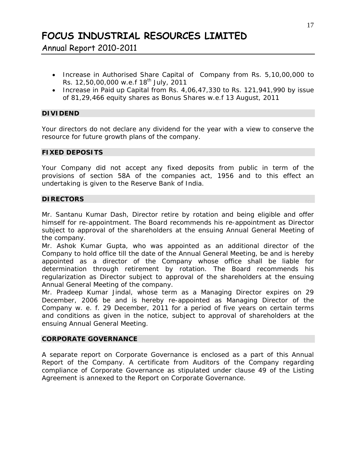Annual Report 2010-2011

- Increase in Authorised Share Capital of Company from Rs. 5,10,00,000 to Rs.  $12,50,00,000$  w.e.f  $18^{th}$  July, 2011
- Increase in Paid up Capital from Rs. 4,06,47,330 to Rs. 121,941,990 by issue of 81,29,466 equity shares as Bonus Shares w.e.f 13 August, 2011

#### **DIVIDEND**

Your directors do not declare any dividend for the year with a view to conserve the resource for future growth plans of the company.

#### **FIXED DEPOSITS**

Your Company did not accept any fixed deposits from public in term of the provisions of section 58A of the companies act, 1956 and to this effect an undertaking is given to the Reserve Bank of India.

#### **DIRECTORS**

Mr. Santanu Kumar Dash, Director retire by rotation and being eligible and offer himself for re-appointment. The Board recommends his re-appointment as Director subject to approval of the shareholders at the ensuing Annual General Meeting of the company.

Mr. Ashok Kumar Gupta, who was appointed as an additional director of the Company to hold office till the date of the Annual General Meeting, be and is hereby appointed as a director of the Company whose office shall be liable for determination through retirement by rotation. The Board recommends his regularization as Director subject to approval of the shareholders at the ensuing Annual General Meeting of the company.

Mr. Pradeep Kumar Jindal, whose term as a Managing Director expires on 29 December, 2006 be and is hereby re-appointed as Managing Director of the Company w. e. f. 29 December, 2011 for a period of five years on certain terms and conditions as given in the notice, subject to approval of shareholders at the ensuing Annual General Meeting.

#### **CORPORATE GOVERNANCE**

A separate report on Corporate Governance is enclosed as a part of this Annual Report of the Company. A certificate from Auditors of the Company regarding compliance of Corporate Governance as stipulated under clause 49 of the Listing Agreement is annexed to the Report on Corporate Governance.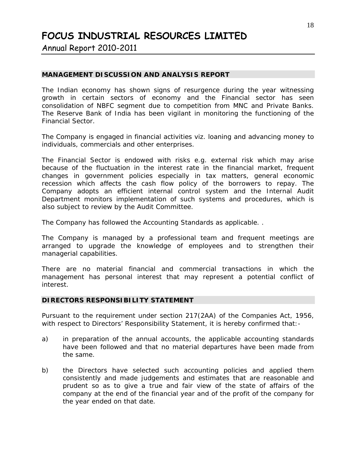Annual Report 2010-2011

#### **MANAGEMENT DISCUSSION AND ANALYSIS REPORT**

The Indian economy has shown signs of resurgence during the year witnessing growth in certain sectors of economy and the Financial sector has seen consolidation of NBFC segment due to competition from MNC and Private Banks. The Reserve Bank of India has been vigilant in monitoring the functioning of the Financial Sector.

The Company is engaged in financial activities viz. loaning and advancing money to individuals, commercials and other enterprises.

The Financial Sector is endowed with risks e.g. external risk which may arise because of the fluctuation in the interest rate in the financial market, frequent changes in government policies especially in tax matters, general economic recession which affects the cash flow policy of the borrowers to repay. The Company adopts an efficient internal control system and the Internal Audit Department monitors implementation of such systems and procedures, which is also subject to review by the Audit Committee.

The Company has followed the Accounting Standards as applicable. .

The Company is managed by a professional team and frequent meetings are arranged to upgrade the knowledge of employees and to strengthen their managerial capabilities.

There are no material financial and commercial transactions in which the management has personal interest that may represent a potential conflict of interest.

#### **DIRECTORS RESPONSIBILITY STATEMENT**

Pursuant to the requirement under section 217(2AA) of the Companies Act, 1956, with respect to Directors' Responsibility Statement, it is hereby confirmed that:-

- a) in preparation of the annual accounts, the applicable accounting standards have been followed and that no material departures have been made from the same.
- b) the Directors have selected such accounting policies and applied them consistently and made judgements and estimates that are reasonable and prudent so as to give a true and fair view of the state of affairs of the company at the end of the financial year and of the profit of the company for the year ended on that date.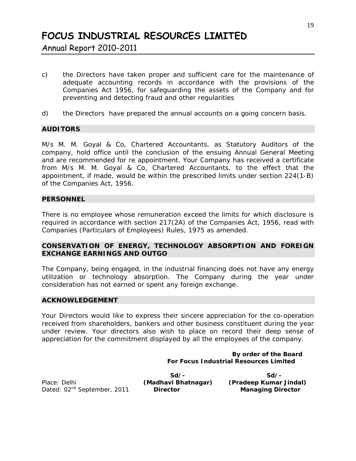Annual Report 2010-2011

- c) the Directors have taken proper and sufficient care for the maintenance of adequate accounting records in accordance with the provisions of the Companies Act 1956, for safeguarding the assets of the Company and for preventing and detecting fraud and other regularities
- d) the Directors have prepared the annual accounts on a going concern basis.

#### **AUDITORS**

M/s M. M. Goyal & Co, Chartered Accountants, as Statutory Auditors of the company, hold office until the conclusion of the ensuing Annual General Meeting and are recommended for re appointment. Your Company has received a certificate from M/s M. M. Goyal & Co, Chartered Accountants, to the effect that the appointment, if made, would be within the prescribed limits under section 224(1-B) of the Companies Act, 1956.

#### **PERSONNEL**

There is no employee whose remuneration exceed the limits for which disclosure is required in accordance with section 217(2A) of the Companies Act, 1956, read with Companies (Particulars of Employees) Rules, 1975 as amended.

#### **CONSERVATION OF ENERGY, TECHNOLOGY ABSORPTION AND FOREIGN EXCHANGE EARNINGS AND OUTGO**

The Company, being engaged, in the industrial financing does not have any energy utilization or technology absorption. The Company during the year under consideration has not earned or spent any foreign exchange.

#### **ACKNOWLEDGEMENT**

Your Directors would like to express their sincere appreciation for the co-operation received from shareholders, bankers and other business constituent during the year under review. Your directors also wish to place on record their deep sense of appreciation for the commitment displayed by all the employees of the company.

> **By order of the Board For Focus Industrial Resources Limited**

|                                         | $Sd/$ -             | Sd/-                     |
|-----------------------------------------|---------------------|--------------------------|
| Place: Delhi                            | (Madhavi Bhatnagar) | (Pradeep Kumar Jindal)   |
| Dated: 02 <sup>nd</sup> September, 2011 | <b>Director</b>     | <b>Managing Director</b> |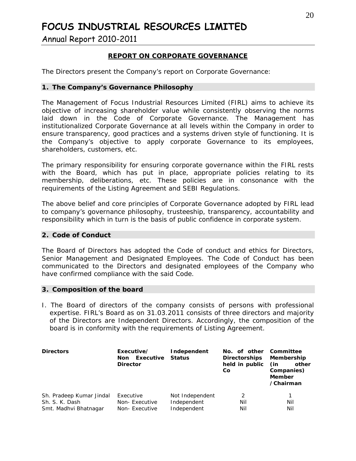Annual Report 2010-2011

#### **REPORT ON CORPORATE GOVERNANCE**

The Directors present the Company's report on Corporate Governance:

#### **1. The Company's Governance Philosophy**

The Management of Focus Industrial Resources Limited (FIRL) aims to achieve its objective of increasing shareholder value while consistently observing the norms laid down in the Code of Corporate Governance. The Management has institutionalized Corporate Governance at all levels within the Company in order to ensure transparency, good practices and a systems driven style of functioning. It is the Company's objective to apply corporate Governance to its employees, shareholders, customers, etc.

The primary responsibility for ensuring corporate governance within the FIRL rests with the Board, which has put in place, appropriate policies relating to its membership, deliberations, etc. These policies are in consonance with the requirements of the Listing Agreement and SEBI Regulations.

The above belief and core principles of Corporate Governance adopted by FIRL lead to company's governance philosophy, trusteeship, transparency, accountability and responsibility which in turn is the basis of public confidence in corporate system.

#### **2. Code of Conduct**

The Board of Directors has adopted the Code of conduct and ethics for Directors, Senior Management and Designated Employees. The Code of Conduct has been communicated to the Directors and designated employees of the Company who have confirmed compliance with the said Code.

#### **3. Composition of the board**

I. The Board of directors of the company consists of persons with professional expertise. FIRL's Board as on 31.03.2011 consists of three directors and majority of the Directors are Independent Directors. Accordingly, the composition of the board is in conformity with the requirements of Listing Agreement.

| <b>Directors</b>                                                    | Executive/<br>Executive<br>Non<br><b>Director</b> | Independent<br><b>Status</b>                  | No. of other Committee<br><b>Directorships</b><br>held in public<br>Co | Membership<br>(in<br>other<br>Companies)<br><b>Member</b><br>/Chairman |
|---------------------------------------------------------------------|---------------------------------------------------|-----------------------------------------------|------------------------------------------------------------------------|------------------------------------------------------------------------|
| Sh. Pradeep Kumar Jindal<br>Sh. S. K. Dash<br>Smt. Madhvi Bhatnagar | Executive<br>Non-Executive<br>Non-Executive       | Not Independent<br>Independent<br>Independent | 2<br>Nil<br>Nil                                                        | Nil<br>Nil                                                             |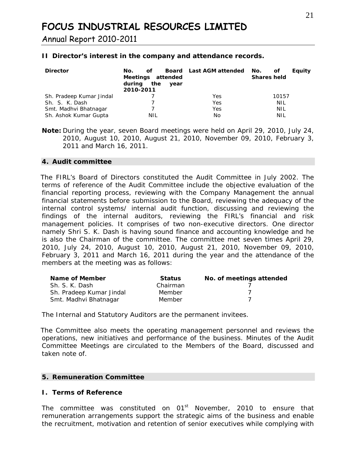Annual Report 2010-2011

#### **II Director's interest in the company and attendance records.**

| <b>Director</b>          | of.<br>No.<br>Meetings attended<br>during the<br>year<br>2010-2011 | Board Last AGM attended | No.<br>Equity<br>οf<br><b>Shares held</b> |
|--------------------------|--------------------------------------------------------------------|-------------------------|-------------------------------------------|
| Sh. Pradeep Kumar Jindal |                                                                    | Yes                     | 10157                                     |
| Sh. S. K. Dash           |                                                                    | Yes                     | NIL                                       |
| Smt. Madhvi Bhatnagar    |                                                                    | Yes                     | NIL                                       |
| Sh. Ashok Kumar Gupta    | NIL                                                                | No                      | NIL                                       |

**Note:** During the year, seven Board meetings were held on April 29, 2010, July 24, 2010, August 10, 2010, August 21, 2010, November 09, 2010, February 3, 2011 and March 16, 2011.

#### **4. Audit committee**

 The FIRL's Board of Directors constituted the Audit Committee in July 2002. The terms of reference of the Audit Committee include the objective evaluation of the financial reporting process, reviewing with the Company Management the annual financial statements before submission to the Board, reviewing the adequacy of the internal control systems/ internal audit function, discussing and reviewing the findings of the internal auditors, reviewing the FIRL's financial and risk management policies. It comprises of two non-executive directors. One director namely Shri S. K. Dash is having sound finance and accounting knowledge and he is also the Chairman of the committee. The committee met seven times April 29, 2010, July 24, 2010, August 10, 2010, August 21, 2010, November 09, 2010, February 3, 2011 and March 16, 2011 during the year and the attendance of the members at the meeting was as follows:

| Name of Member           | <b>Status</b> | No. of meetings attended |
|--------------------------|---------------|--------------------------|
| Sh. S. K. Dash           | Chairman      |                          |
| Sh. Pradeep Kumar Jindal | Member        |                          |
| Smt. Madhvi Bhatnagar    | Member        |                          |

The Internal and Statutory Auditors are the permanent invitees.

 The Committee also meets the operating management personnel and reviews the operations, new initiatives and performance of the business. Minutes of the Audit Committee Meetings are circulated to the Members of the Board, discussed and taken note of.

#### **5. Remuneration Committee**

#### **I. Terms of Reference**

The committee was constituted on 01<sup>st</sup> November, 2010 to ensure that remuneration arrangements support the strategic aims of the business and enable the recruitment, motivation and retention of senior executives while complying with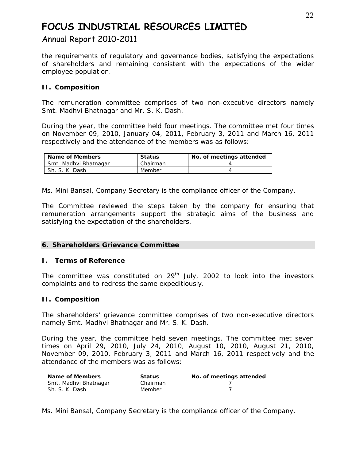#### Annual Report 2010-2011

the requirements of regulatory and governance bodies, satisfying the expectations of shareholders and remaining consistent with the expectations of the wider employee population.

#### **II. Composition**

The remuneration committee comprises of two non-executive directors namely Smt. Madhvi Bhatnagar and Mr. S. K. Dash.

During the year, the committee held four meetings. The committee met four times on November 09, 2010, January 04, 2011, February 3, 2011 and March 16, 2011 respectively and the attendance of the members was as follows:

| Name of Members       | <b>Status</b> | No. of meetings attended |
|-----------------------|---------------|--------------------------|
| Smt. Madhvi Bhatnagar | Chairman      |                          |
| Sh. S. K. Dash        | Member        |                          |

Ms. Mini Bansal, Company Secretary is the compliance officer of the Company.

The Committee reviewed the steps taken by the company for ensuring that remuneration arrangements support the strategic aims of the business and satisfying the expectation of the shareholders.

#### **6. Shareholders Grievance Committee**

#### **I. Terms of Reference**

The committee was constituted on  $29<sup>th</sup>$  July, 2002 to look into the investors complaints and to redress the same expeditiously.

#### **II. Composition**

The shareholders' grievance committee comprises of two non-executive directors namely Smt. Madhvi Bhatnagar and Mr. S. K. Dash.

During the year, the committee held seven meetings. The committee met seven times on April 29, 2010, July 24, 2010, August 10, 2010, August 21, 2010, November 09, 2010, February 3, 2011 and March 16, 2011 respectively and the attendance of the members was as follows:

| Name of Members       | <b>Status</b> | No. of meetings attended |
|-----------------------|---------------|--------------------------|
| Smt. Madhvi Bhatnagar | Chairman      |                          |
| Sh. S. K. Dash        | Member        |                          |

Ms. Mini Bansal, Company Secretary is the compliance officer of the Company.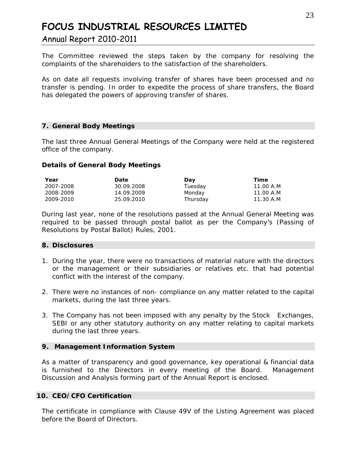#### Annual Report 2010-2011

The Committee reviewed the steps taken by the company for resolving the complaints of the shareholders to the satisfaction of the shareholders.

As on date all requests involving transfer of shares have been processed and no transfer is pending. In order to expedite the process of share transfers, the Board has delegated the powers of approving transfer of shares.

#### **7. General Body Meetings**

The last three Annual General Meetings of the Company were held at the registered office of the company.

#### **Details of General Body Meetings**

| Year      | <b>Date</b> | Day      | Time      |
|-----------|-------------|----------|-----------|
| 2007-2008 | 30.09.2008  | Tuesday  | 11.00 A.M |
| 2008-2009 | 14.09.2009  | Monday   | 11.00 A.M |
| 2009-2010 | 25.09.2010  | Thursday | 11.30 A.M |

During last year, none of the resolutions passed at the Annual General Meeting was required to be passed through postal ballot as per the Company's (Passing of Resolutions by Postal Ballot) Rules, 2001.

#### **8. Disclosures**

- 1. During the year, there were no transactions of material nature with the directors or the management or their subsidiaries or relatives etc. that had potential conflict with the interest of the company.
- 2. There were no instances of non- compliance on any matter related to the capital markets, during the last three years.
- 3. The Company has not been imposed with any penalty by the Stock Exchanges, SEBI or any other statutory authority on any matter relating to capital markets during the last three years.

#### **9. Management Information System**

As a matter of transparency and good governance, key operational & financial data is furnished to the Directors in every meeting of the Board. Management Discussion and Analysis forming part of the Annual Report is enclosed.

#### **10. CEO/CFO Certification**

The certificate in compliance with Clause 49V of the Listing Agreement was placed before the Board of Directors.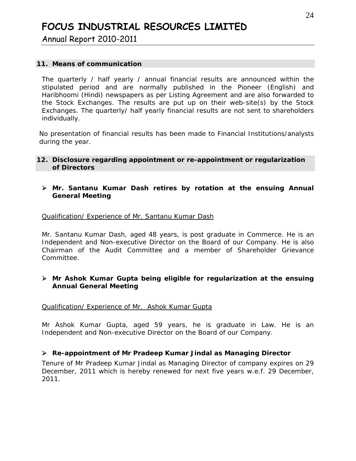Annual Report 2010-2011

#### **11. Means of communication**

The quarterly / half yearly / annual financial results are announced within the stipulated period and are normally published in the Pioneer (English) and Haribhoomi (Hindi) newspapers as per Listing Agreement and are also forwarded to the Stock Exchanges. The results are put up on their web-site(s) by the Stock Exchanges. The quarterly/ half yearly financial results are not sent to shareholders individually.

No presentation of financial results has been made to Financial Institutions/analysts during the year.

#### **12. Disclosure regarding appointment or re-appointment or regularization of Directors**

#### ¾ **Mr. Santanu Kumar Dash retires by rotation at the ensuing Annual General Meeting**

#### *Qualification/ Experience of Mr. Santanu Kumar Dash*

Mr. Santanu Kumar Dash, aged 48 years, is post graduate in Commerce. He is an Independent and Non-executive Director on the Board of our Company. He is also Chairman of the Audit Committee and a member of Shareholder Grievance Committee.

#### ¾ *Mr Ashok Kumar Gupta being eligible for regularization at the ensuing Annual General Meeting*

#### *Qualification/ Experience of Mr. Ashok Kumar Gupta*

Mr Ashok Kumar Gupta, aged 59 years, he is graduate in Law. He is an Independent and Non-executive Director on the Board of our Company.

#### ¾ **Re-appointment of Mr Pradeep Kumar Jindal as Managing Director**

Tenure of Mr Pradeep Kumar Jindal as Managing Director of company expires on 29 December, 2011 which is hereby renewed for next five years w.e.f. 29 December, 2011.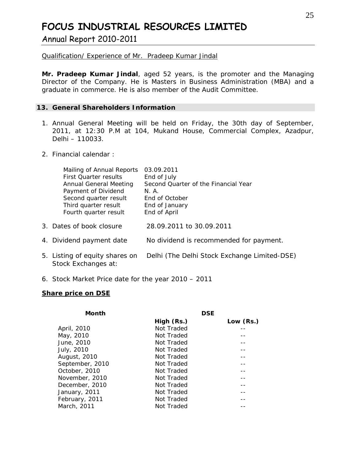Annual Report 2010-2011

*Qualification/ Experience of Mr. Pradeep Kumar Jindal*

**Mr. Pradeep Kumar Jindal**, aged 52 years, is the promoter and the Managing Director of the Company. He is Masters in Business Administration (MBA) and a graduate in commerce. He is also member of the Audit Committee.

#### **13. General Shareholders Information**

- 1. Annual General Meeting will be held on Friday, the 30th day of September, 2011, at 12:30 P.M at 104, Mukand House, Commercial Complex, Azadpur, Delhi – 110033.
- 2. Financial calendar :

| Mailing of Annual Reports      | 03.09.2011                                   |
|--------------------------------|----------------------------------------------|
| <b>First Ouarter results</b>   | End of July                                  |
| <b>Annual General Meeting</b>  | Second Quarter of the Financial Year         |
| Payment of Dividend            | N.A.                                         |
| Second quarter result          | End of October                               |
| Third quarter result           | End of January                               |
| Fourth quarter result          | End of April                                 |
|                                |                                              |
| 3. Dates of book closure       | 28.09.2011 to 30.09.2011                     |
|                                |                                              |
| 4. Dividend payment date       | No dividend is recommended for payment.      |
|                                |                                              |
| 5. Listing of equity shares on | Delhi (The Delhi Stock Exchange Limited-DSE) |
| Stock Exchanges at:            |                                              |
|                                |                                              |

6. Stock Market Price date for the year 2010 – 2011

#### **Share price on DSE**

| <b>Month</b>    | <b>DSE</b> |           |  |
|-----------------|------------|-----------|--|
|                 | High (Rs.) | Low (Rs.) |  |
| April, 2010     | Not Traded |           |  |
| May, 2010       | Not Traded |           |  |
| June, 2010      | Not Traded |           |  |
| July, 2010      | Not Traded |           |  |
| August, 2010    | Not Traded |           |  |
| September, 2010 | Not Traded |           |  |
| October, 2010   | Not Traded |           |  |
| November, 2010  | Not Traded |           |  |
| December, 2010  | Not Traded |           |  |
| January, 2011   | Not Traded |           |  |
| February, 2011  | Not Traded |           |  |
| March, 2011     | Not Traded |           |  |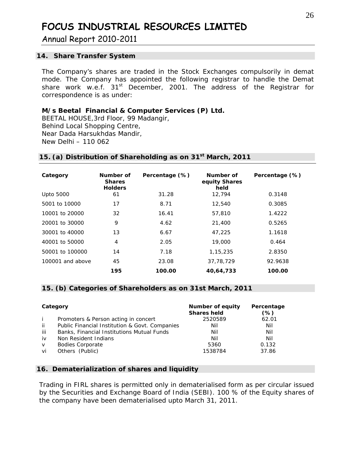Annual Report 2010-2011

#### **14. Share Transfer System**

The Company's shares are traded in the Stock Exchanges compulsorily in demat mode. The Company has appointed the following registrar to handle the Demat share work w.e.f.  $31<sup>st</sup>$  December, 2001. The address of the Registrar for correspondence is as under:

#### **M/s Beetal Financial & Computer Services (P) Ltd.**

BEETAL HOUSE,3rd Floor, 99 Madangir, Behind Local Shopping Centre, Near Dada Harsukhdas Mandir, New Delhi – 110 062

| Category         | Number of<br><b>Shares</b><br><b>Holders</b> | Percentage (%) | Number of<br>equity Shares<br>held | Percentage (%) |
|------------------|----------------------------------------------|----------------|------------------------------------|----------------|
| <b>Upto 5000</b> | 61                                           | 31.28          | 12,794                             | 0.3148         |
| 5001 to 10000    | 17                                           | 8.71           | 12,540                             | 0.3085         |
| 10001 to 20000   | 32                                           | 16.41          | 57,810                             | 1.4222         |
| 20001 to 30000   | 9                                            | 4.62           | 21,400                             | 0.5265         |
| 30001 to 40000   | 13                                           | 6.67           | 47,225                             | 1.1618         |
| 40001 to 50000   | 4                                            | 2.05           | 19,000                             | 0.464          |
| 50001 to 100000  | 14                                           | 7.18           | 1,15,235                           | 2.8350         |
| 100001 and above | 45                                           | 23.08          | 37,78,729                          | 92.9638        |
|                  | 195                                          | 100.00         | 40,64,733                          | 100.00         |

#### **15. (a) Distribution of Shareholding as on 31st March, 2011**

#### **15. (b) Categories of Shareholders as on 31st March, 2011**

| Category |                                                | Number of equity<br><b>Shares held</b> | Percentage<br>(%) |
|----------|------------------------------------------------|----------------------------------------|-------------------|
|          | Promoters & Person acting in concert           | 2520589                                | 62.01             |
| -ii      | Public Financial Institution & Govt. Companies | Nil                                    | Nil               |
| iii      | Banks, Financial Institutions Mutual Funds     | Nil                                    | Nil               |
| iv       | Non Resident Indians                           | Nil                                    | Nil               |
| $\vee$   | <b>Bodies Corporate</b>                        | 5360                                   | 0.132             |
| vi       | Others (Public)                                | 1538784                                | 37.86             |

#### **16. Dematerialization of shares and liquidity**

Trading in FIRL shares is permitted only in dematerialised form as per circular issued by the Securities and Exchange Board of India (SEBI). 100 % of the Equity shares of the company have been dematerialised upto March 31, 2011.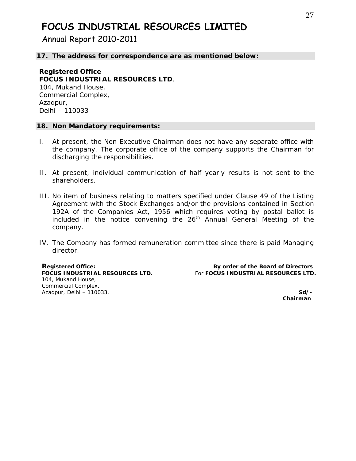Annual Report 2010-2011

#### **17. The address for correspondence are as mentioned below:**

#### **Registered Office FOCUS INDUSTRIAL RESOURCES LTD**. 104, Mukand House, Commercial Complex, Azadpur, Delhi – 110033

#### **18. Non Mandatory requirements:**

- I. At present, the Non Executive Chairman does not have any separate office with the company. The corporate office of the company supports the Chairman for discharging the responsibilities.
- II. At present, individual communication of half yearly results is not sent to the shareholders.
- III. No item of business relating to matters specified under Clause 49 of the Listing Agreement with the Stock Exchanges and/or the provisions contained in Section 192A of the Companies Act, 1956 which requires voting by postal ballot is included in the notice convening the  $26<sup>th</sup>$  Annual General Meeting of the company.
- IV. The Company has formed remuneration committee since there is paid Managing director.

104, Mukand House, Commercial Complex, Azadpur, Delhi – 110033. **Sd/-** 

**Registered Office: By order of the Board of Directors FOCUS INDUSTRIAL RESOURCES LTD.** For **FOCUS INDUSTRIAL RESOURCES LTD.**

 **Chairman**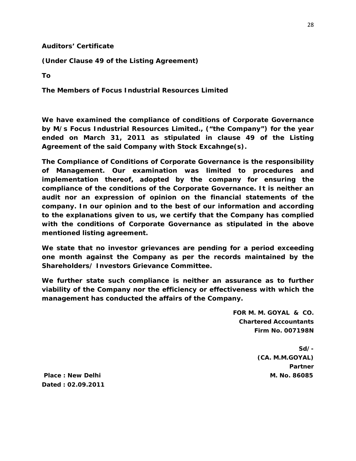#### **Auditors' Certificate**

**(Under Clause 49 of the Listing Agreement)** 

**To** 

**The Members of Focus Industrial Resources Limited** 

**We have examined the compliance of conditions of Corporate Governance by M/s Focus Industrial Resources Limited., ("the Company") for the year ended on March 31, 2011 as stipulated in clause 49 of the Listing Agreement of the said Company with Stock Excahnge(s).** 

**The Compliance of Conditions of Corporate Governance is the responsibility of Management. Our examination was limited to procedures and implementation thereof, adopted by the company for ensuring the compliance of the conditions of the Corporate Governance. It is neither an audit nor an expression of opinion on the financial statements of the company. In our opinion and to the best of our information and according to the explanations given to us, we certify that the Company has complied with the conditions of Corporate Governance as stipulated in the above mentioned listing agreement.** 

**We state that no investor grievances are pending for a period exceeding one month against the Company as per the records maintained by the Shareholders/ Investors Grievance Committee.** 

**We further state such compliance is neither an assurance as to further viability of the Company nor the efficiency or effectiveness with which the management has conducted the affairs of the Company.** 

> **FOR M. M. GOYAL & CO. Chartered Accountants Firm No. 007198N**

> > **Sd/- (CA. M.M.GOYAL) Partner**

 **Place : New Delhi M. No. 86085 M. No. 86085 Dated : 02.09.2011**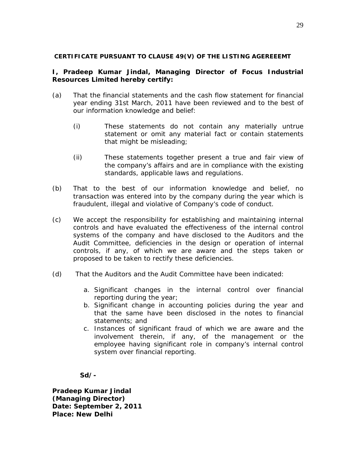#### **CERTIFICATE PURSUANT TO CLAUSE 49(V) OF THE LISTING AGEREEEMT**

#### **I, Pradeep Kumar Jindal, Managing Director of Focus Industrial Resources Limited hereby certify:**

- (a) That the financial statements and the cash flow statement for financial year ending 31st March, 2011 have been reviewed and to the best of our information knowledge and belief:
	- (i) These statements do not contain any materially untrue statement or omit any material fact or contain statements that might be misleading;
	- (ii) These statements together present a true and fair view of the company's affairs and are in compliance with the existing standards, applicable laws and regulations.
- (b) That to the best of our information knowledge and belief, no transaction was entered into by the company during the year which is fraudulent, illegal and violative of Company's code of conduct.
- (c) We accept the responsibility for establishing and maintaining internal controls and have evaluated the effectiveness of the internal control systems of the company and have disclosed to the Auditors and the Audit Committee, deficiencies in the design or operation of internal controls, if any, of which we are aware and the steps taken or proposed to be taken to rectify these deficiencies.
- (d) That the Auditors and the Audit Committee have been indicated:
	- a. Significant changes in the internal control over financial reporting during the year;
	- b. Significant change in accounting policies during the year and that the same have been disclosed in the notes to financial statements; and
	- c. Instances of significant fraud of which we are aware and the involvement therein, if any, of the management or the employee having significant role in company's internal control system over financial reporting.

**Sd/-** 

**Pradeep Kumar Jindal (Managing Director) Date: September 2, 2011 Place: New Delhi**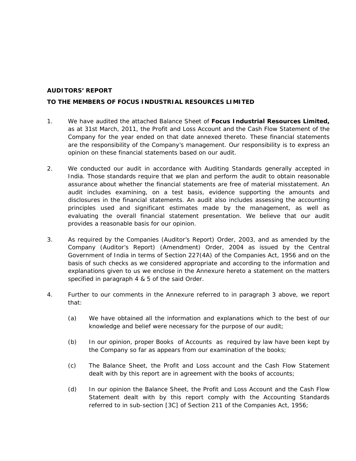#### **AUDITORS' REPORT**

#### **TO THE MEMBERS OF FOCUS INDUSTRIAL RESOURCES LIMITED**

- 1. We have audited the attached Balance Sheet of **Focus Industrial Resources Limited,** as at 31st March, 2011, the Profit and Loss Account and the Cash Flow Statement of the Company for the year ended on that date annexed thereto. These financial statements are the responsibility of the Company's management. Our responsibility is to express an opinion on these financial statements based on our audit.
- 2. We conducted our audit in accordance with Auditing Standards generally accepted in India. Those standards require that we plan and perform the audit to obtain reasonable assurance about whether the financial statements are free of material misstatement. An audit includes examining, on a test basis, evidence supporting the amounts and disclosures in the financial statements. An audit also includes assessing the accounting principles used and significant estimates made by the management, as well as evaluating the overall financial statement presentation. We believe that our audit provides a reasonable basis for our opinion.
- 3. As required by the Companies (Auditor's Report) Order, 2003, and as amended by the Company (Auditor's Report) (Amendment) Order, 2004 as issued by the Central Government of India in terms of Section 227(4A) of the Companies Act, 1956 and on the basis of such checks as we considered appropriate and according to the information and explanations given to us we enclose in the Annexure hereto a statement on the matters specified in paragraph 4 & 5 of the said Order.
- 4. Further to our comments in the Annexure referred to in paragraph 3 above, we report that:
	- (a) We have obtained all the information and explanations which to the best of our knowledge and belief were necessary for the purpose of our audit;
	- (b) In our opinion, proper Books of Accounts as required by law have been kept by the Company so far as appears from our examination of the books;
	- (c) The Balance Sheet, the Profit and Loss account and the Cash Flow Statement dealt with by this report are in agreement with the books of accounts;
	- (d) In our opinion the Balance Sheet, the Profit and Loss Account and the Cash Flow Statement dealt with by this report comply with the Accounting Standards referred to in sub-section [3C] of Section 211 of the Companies Act, 1956;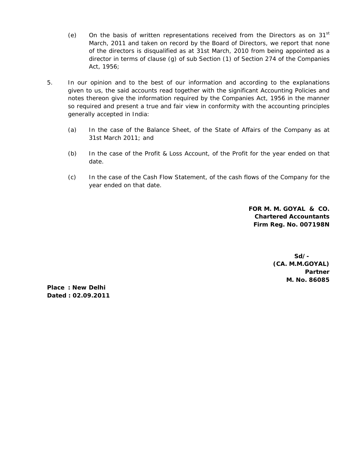- (e) On the basis of written representations received from the Directors as on  $31<sup>st</sup>$ March, 2011 and taken on record by the Board of Directors, we report that none of the directors is disqualified as at 31st March, 2010 from being appointed as a director in terms of clause (g) of sub Section (1) of Section 274 of the Companies Act, 1956;
- 5. In our opinion and to the best of our information and according to the explanations given to us, the said accounts read together with the significant Accounting Policies and notes thereon give the information required by the Companies Act, 1956 in the manner so required and present a true and fair view in conformity with the accounting principles generally accepted in India:
	- (a) In the case of the Balance Sheet, of the State of Affairs of the Company as at 31st March 2011; and
	- (b) In the case of the Profit & Loss Account, of the Profit for the year ended on that date.
	- (c) In the case of the Cash Flow Statement, of the cash flows of the Company for the year ended on that date.

**FOR M. M. GOYAL & CO. Chartered Accountants Firm Reg. No. 007198N** 

> **Sd/- (CA. M.M.GOYAL) Partner M. No. 86085**

**Place : New Delhi Dated : 02.09.2011**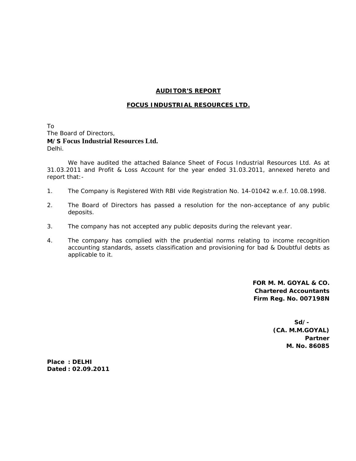#### **AUDITOR'S REPORT**

#### **FOCUS INDUSTRIAL RESOURCES LTD.**

To The Board of Directors, **M/S Focus Industrial Resources Ltd.** Delhi.

 We have audited the attached Balance Sheet of Focus Industrial Resources Ltd. As at 31.03.2011 and Profit & Loss Account for the year ended 31.03.2011, annexed hereto and report that:-

- 1. The Company is Registered With RBI vide Registration No. 14-01042 w.e.f. 10.08.1998.
- 2. The Board of Directors has passed a resolution for the non-acceptance of any public deposits.
- 3. The company has not accepted any public deposits during the relevant year.
- 4. The company has complied with the prudential norms relating to income recognition accounting standards, assets classification and provisioning for bad & Doubtful debts as applicable to it.

 **FOR M. M. GOYAL & CO. Chartered Accountants Firm Reg. No. 007198N** 

 **Sd/- (CA. M.M.GOYAL) Partner** *Partner* **Partner M. No. 86085** 

**Place : DELHI Dated : 02.09.2011**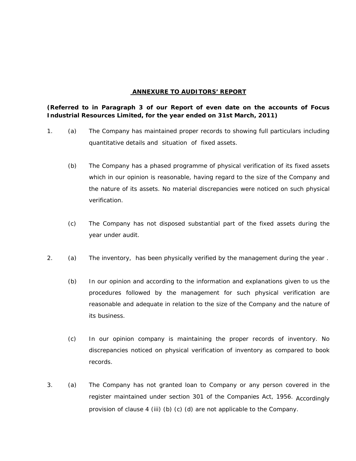#### **ANNEXURE TO AUDITORS' REPORT**

**(Referred to in Paragraph 3 of our Report of even date on the accounts of Focus Industrial Resources Limited, for the year ended on 31st March, 2011)**

- 1. (a) The Company has maintained proper records to showing full particulars including quantitative details and situation of fixed assets.
	- (b) The Company has a phased programme of physical verification of its fixed assets which in our opinion is reasonable, having regard to the size of the Company and the nature of its assets. No material discrepancies were noticed on such physical verification.
	- (c) The Company has not disposed substantial part of the fixed assets during the year under audit.
- 2. (a) The inventory, has been physically verified by the management during the year .
	- (b) In our opinion and according to the information and explanations given to us the procedures followed by the management for such physical verification are reasonable and adequate in relation to the size of the Company and the nature of its business.
	- (c) In our opinion company is maintaining the proper records of inventory. No discrepancies noticed on physical verification of inventory as compared to book records.
- 3. (a) The Company has not granted loan to Company or any person covered in the register maintained under section 301 of the Companies Act, 1956. Accordingly provision of clause 4 (iii) (b) (c) (d) are not applicable to the Company.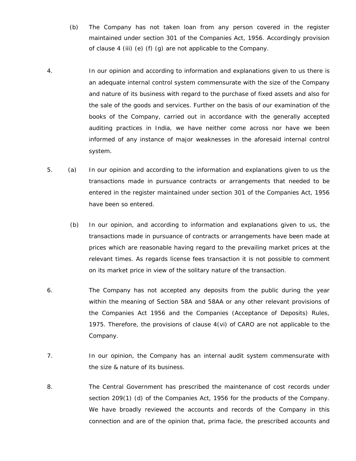- (b) The Company has not taken loan from any person covered in the register maintained under section 301 of the Companies Act, 1956. Accordingly provision of clause 4 (iii) (e) (f) (g) are not applicable to the Company.
- 4. In our opinion and according to information and explanations given to us there is an adequate internal control system commensurate with the size of the Company and nature of its business with regard to the purchase of fixed assets and also for the sale of the goods and services. Further on the basis of our examination of the books of the Company, carried out in accordance with the generally accepted auditing practices in India, we have neither come across nor have we been informed of any instance of major weaknesses in the aforesaid internal control system.
- 5. (a) In our opinion and according to the information and explanations given to us the transactions made in pursuance contracts or arrangements that needed to be entered in the register maintained under section 301 of the Companies Act, 1956 have been so entered.
	- (b) In our opinion, and according to information and explanations given to us, the transactions made in pursuance of contracts or arrangements have been made at prices which are reasonable having regard to the prevailing market prices at the relevant times. As regards license fees transaction it is not possible to comment on its market price in view of the solitary nature of the transaction.
- 6. The Company has not accepted any deposits from the public during the year within the meaning of Section 58A and 58AA or any other relevant provisions of the Companies Act 1956 and the Companies (Acceptance of Deposits) Rules, 1975. Therefore, the provisions of clause 4(vi) of CARO are not applicable to the Company.
- 7. In our opinion, the Company has an internal audit system commensurate with the size & nature of its business.
- 8. The Central Government has prescribed the maintenance of cost records under section 209(1) (d) of the Companies Act, 1956 for the products of the Company. We have broadly reviewed the accounts and records of the Company in this connection and are of the opinion that, prima facie, the prescribed accounts and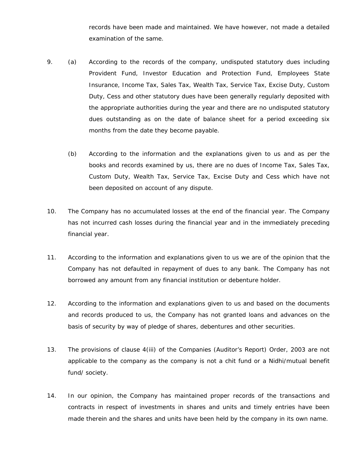records have been made and maintained. We have however, not made a detailed examination of the same.

- 9. (a) According to the records of the company, undisputed statutory dues including Provident Fund, Investor Education and Protection Fund, Employees State Insurance, Income Tax, Sales Tax, Wealth Tax, Service Tax, Excise Duty, Custom Duty, Cess and other statutory dues have been generally regularly deposited with the appropriate authorities during the year and there are no undisputed statutory dues outstanding as on the date of balance sheet for a period exceeding six months from the date they become payable.
	- (b) According to the information and the explanations given to us and as per the books and records examined by us, there are no dues of Income Tax, Sales Tax, Custom Duty, Wealth Tax, Service Tax, Excise Duty and Cess which have not been deposited on account of any dispute.
- 10. The Company has no accumulated losses at the end of the financial year. The Company has not incurred cash losses during the financial year and in the immediately preceding financial year.
- 11. According to the information and explanations given to us we are of the opinion that the Company has not defaulted in repayment of dues to any bank. The Company has not borrowed any amount from any financial institution or debenture holder.
- 12. According to the information and explanations given to us and based on the documents and records produced to us, the Company has not granted loans and advances on the basis of security by way of pledge of shares, debentures and other securities.
- 13. The provisions of clause 4(iii) of the Companies (Auditor's Report) Order, 2003 are not applicable to the company as the company is not a chit fund or a Nidhi/mutual benefit fund/ society.
- 14. In our opinion, the Company has maintained proper records of the transactions and contracts in respect of investments in shares and units and timely entries have been made therein and the shares and units have been held by the company in its own name.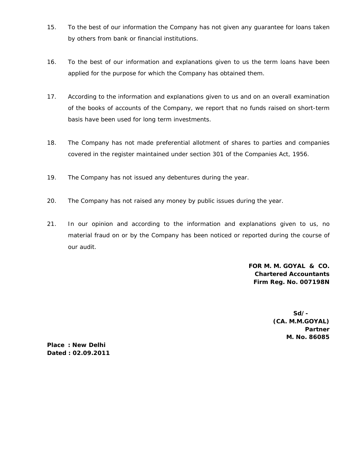- 15. To the best of our information the Company has not given any guarantee for loans taken by others from bank or financial institutions.
- 16. To the best of our information and explanations given to us the term loans have been applied for the purpose for which the Company has obtained them.
- 17. According to the information and explanations given to us and on an overall examination of the books of accounts of the Company, we report that no funds raised on short-term basis have been used for long term investments.
- 18. The Company has not made preferential allotment of shares to parties and companies covered in the register maintained under section 301 of the Companies Act, 1956.
- 19. The Company has not issued any debentures during the year.
- 20. The Company has not raised any money by public issues during the year.
- 21. In our opinion and according to the information and explanations given to us, no material fraud on or by the Company has been noticed or reported during the course of our audit.

**FOR M. M. GOYAL & CO. Chartered Accountants Firm Reg. No. 007198N** 

> **Sd/- (CA. M.M.GOYAL) Partner M. No. 86085**

**Place : New Delhi Dated : 02.09.2011**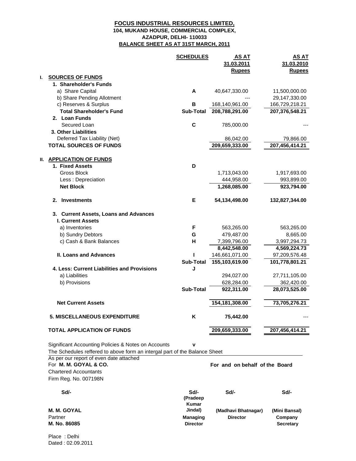#### **FOCUS INDUSTRIAL RESOURCES LIMITED, AZADPUR, DELHI- 110033 BALANCE SHEET AS AT 31ST MARCH, 2011 104, MUKAND HOUSE, COMMERCIAL COMPLEX,**

|    |                                                                                                                                                                              | <b>SCHEDULES</b>          | <b>AS AT</b><br>31.03.2011<br><b>Rupees</b> | <b>AS AT</b><br>31.03.2010<br><b>Rupees</b> |
|----|------------------------------------------------------------------------------------------------------------------------------------------------------------------------------|---------------------------|---------------------------------------------|---------------------------------------------|
| L. | <b>SOURCES OF FUNDS</b>                                                                                                                                                      |                           |                                             |                                             |
|    | 1. Shareholder's Funds                                                                                                                                                       |                           |                                             |                                             |
|    | a) Share Capital                                                                                                                                                             | A                         | 40,647,330.00                               | 11,500,000.00                               |
|    | b) Share Pending Allotment                                                                                                                                                   |                           |                                             | 29,147,330.00                               |
|    | c) Reserves & Surplus                                                                                                                                                        | В                         | 168,140,961.00                              | 166,729,218.21                              |
|    | <b>Total Shareholder's Fund</b>                                                                                                                                              | <b>Sub-Total</b>          | 208,788,291.00                              | 207,376,548.21                              |
|    | 2. Loan Funds                                                                                                                                                                |                           |                                             |                                             |
|    | Secured Loan                                                                                                                                                                 | C                         | 785,000.00                                  |                                             |
|    | 3. Other Liabilities                                                                                                                                                         |                           |                                             |                                             |
|    | Deferred Tax Liability (Net)                                                                                                                                                 |                           | 86,042.00                                   | 79,866.00                                   |
|    | <b>TOTAL SOURCES OF FUNDS</b>                                                                                                                                                |                           | 209,659,333.00                              | 207,456,414.21                              |
|    | <b>II. APPLICATION OF FUNDS</b>                                                                                                                                              |                           |                                             |                                             |
|    | 1. Fixed Assets                                                                                                                                                              | D                         |                                             |                                             |
|    | <b>Gross Block</b>                                                                                                                                                           |                           | 1,713,043.00                                | 1,917,693.00                                |
|    | Less : Depreciation                                                                                                                                                          |                           | 444,958.00                                  | 993,899.00                                  |
|    | <b>Net Block</b>                                                                                                                                                             |                           | 1,268,085.00                                | 923,794.00                                  |
|    | <b>Investments</b><br>2.                                                                                                                                                     | Е                         | 54,134,498.00                               | 132,827,344.00                              |
|    |                                                                                                                                                                              |                           |                                             |                                             |
|    | 3. Current Assets, Loans and Advances<br><b>I. Current Assets</b>                                                                                                            |                           |                                             |                                             |
|    | a) Inventories                                                                                                                                                               | F                         | 563,265.00                                  | 563,265.00                                  |
|    | b) Sundry Debtors                                                                                                                                                            | G                         | 479,487.00                                  | 8,665.00                                    |
|    | c) Cash & Bank Balances                                                                                                                                                      | н                         | 7,399,796.00                                | 3,997,294.73                                |
|    |                                                                                                                                                                              |                           | 8,442,548.00                                | 4,569,224.73                                |
|    | <b>II. Loans and Advances</b>                                                                                                                                                | ш                         | 146,661,071.00                              | 97,209,576.48                               |
|    |                                                                                                                                                                              | <b>Sub-Total</b>          | 155,103,619.00                              | 101,778,801.21                              |
|    | 4. Less: Current Liabilities and Provisions                                                                                                                                  | J                         |                                             |                                             |
|    | a) Liabilities                                                                                                                                                               |                           | 294,027.00                                  | 27,711,105.00                               |
|    | b) Provisions                                                                                                                                                                |                           | 628,284.00                                  | 362,420.00                                  |
|    |                                                                                                                                                                              | <b>Sub-Total</b>          | 922,311.00                                  | 28,073,525.00                               |
|    | <b>Net Current Assets</b>                                                                                                                                                    |                           | 154, 181, 308.00                            | 73,705,276.21                               |
|    | 5. MISCELLANEOUS EXPENDITURE                                                                                                                                                 | ĸ                         | 75,442.00                                   |                                             |
|    | <b>TOTAL APPLICATION OF FUNDS</b>                                                                                                                                            |                           | 209,659,333.00                              | 207,456,414.21                              |
|    | Significant Accounting Policies & Notes on Accounts<br>The Schedules reffered to above form an intergal part of the Balance Sheet<br>As per our report of even date attached | v                         |                                             |                                             |
|    | For M. M. GOYAL & CO.                                                                                                                                                        |                           | For and on behalf of the Board              |                                             |
|    | <b>Chartered Accountants</b><br>Firm Reg. No. 007198N                                                                                                                        |                           |                                             |                                             |
|    | Sd/-                                                                                                                                                                         | Sd/-<br>(Pradeep<br>Kumar | Sd/-                                        | Sd/-                                        |
|    | <b>M. M. GOYAL</b>                                                                                                                                                           | Jindal)                   | (Madhavi Bhatnagar)                         | (Mini Bansal)                               |
|    | Partner                                                                                                                                                                      | <b>Managing</b>           | <b>Director</b>                             | Company                                     |
|    | M. No. 86085                                                                                                                                                                 | <b>Director</b>           |                                             | <b>Secretary</b>                            |

Place : Delhi Dated : 02.09.2011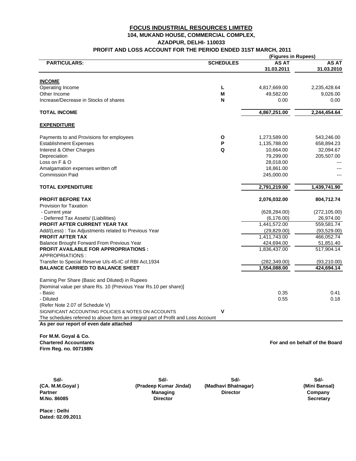#### **FOCUS INDUSTRIAL RESOURCES LIMITED 104, MUKAND HOUSE, COMMERCIAL COMPLEX, PROFIT AND LOSS ACCOUNT FOR THE PERIOD ENDED 31ST MARCH, 2011 AZADPUR, DELHI- 110033**

|                                                                                  |                  | (Figures in Rupees)        |                            |
|----------------------------------------------------------------------------------|------------------|----------------------------|----------------------------|
| <b>PARTICULARS:</b>                                                              | <b>SCHEDULES</b> | <b>AS AT</b><br>31.03.2011 | <b>AS AT</b><br>31.03.2010 |
| <b>INCOME</b>                                                                    |                  |                            |                            |
| Operating Income                                                                 | L                | 4,817,669.00               | 2,235,428.64               |
| Other Income                                                                     | M                | 49,582.00                  | 9,026.00                   |
| Increase/Decrease in Stocks of shares                                            | N                | 0.00                       | 0.00                       |
| <b>TOTAL INCOME</b>                                                              |                  | 4,867,251.00               | 2,244,454.64               |
| <b>EXPENDITURE</b>                                                               |                  |                            |                            |
| Payments to and Provisions for employees                                         | O                | 1,273,589.00               | 543,246.00                 |
| <b>Establishment Expenses</b>                                                    | P                | 1,135,788.00               | 658,894.23                 |
| Interest & Other Charges                                                         | Q                | 10,664.00                  | 32,094.67                  |
| Depreciation                                                                     |                  | 79,299.00                  | 205,507.00                 |
| Loss on F & O                                                                    |                  | 28,018.00                  |                            |
| Amalgamation expenses written off                                                |                  | 18,861.00                  |                            |
| <b>Commission Paid</b>                                                           |                  | 245,000.00                 |                            |
| <b>TOTAL EXPENDITURE</b>                                                         |                  | 2,791,219.00               | 1,439,741.90               |
| <b>PROFIT BEFORE TAX</b>                                                         |                  | 2,076,032.00               | 804,712.74                 |
| Provision for Taxation                                                           |                  |                            |                            |
| - Current year                                                                   |                  | (628, 284.00)              | (272, 105.00)              |
| - Deferred Tax Assets/ (Liabilities)                                             |                  | (6, 176.00)                | 26,974.00                  |
| <b>PROFIT AFTER CURRENT YEAR TAX</b>                                             |                  | 1,441,572.00               | 559,581.74                 |
| Add/(Less): Tax Adjustments related to Previous Year                             |                  | (29, 829.00)               | (93, 529.00)               |
| <b>PROFIT AFTER TAX</b>                                                          |                  | 1,411,743.00               | 466,052.74                 |
| Balance Brought Forward From Previous Year                                       |                  | 424,694.00                 | 51,851.40                  |
| <b>PROFIT AVAILABLE FOR APPROPRIATIONS:</b><br>APPROPRIATIONS:                   |                  | 1,836,437.00               | 517,904.14                 |
| Transfer to Special Reserve U/s 45-IC of RBI Act, 1934                           |                  | (282, 349.00)              | (93, 210.00)               |
| <b>BALANCE CARRIED TO BALANCE SHEET</b>                                          |                  | 1,554,088.00               | 424,694.14                 |
| Earning Per Share (Basic and Diluted) in Rupees                                  |                  |                            |                            |
| [Nominal value per share Rs. 10 (Previous Year Rs. 10 per share)]                |                  |                            |                            |
| - Basic                                                                          |                  | 0.35                       | 0.41                       |
| - Diluted                                                                        |                  | 0.55                       | 0.18                       |
| (Refer Note 2.07 of Schedule V)                                                  |                  |                            |                            |
| SIGNIFICANT ACCOUNTING POLICIES & NOTES ON ACCOUNTS                              | v                |                            |                            |
| The schedules referred to above form an integral part of Profit and Loss Account |                  |                            |                            |
| As per our report of even date attached                                          |                  |                            |                            |

**For M.M. Goyal & Co. Chartered Accountants Firm Reg. no. 007198N**

**For and on behalf of the Board**

**Sd/- Sd/- Sd/- Sd/- (CA. M.M.Goyal ) (Pradeep Kumar Jindal) (Mini Bansal)** Partner **Managing Director Director Company** Partner Company **Company** Director **M.No. 86085 Director Secretary (Madhavi Bhatnagar)**

**Place : Delhi Dated: 02.09.2011**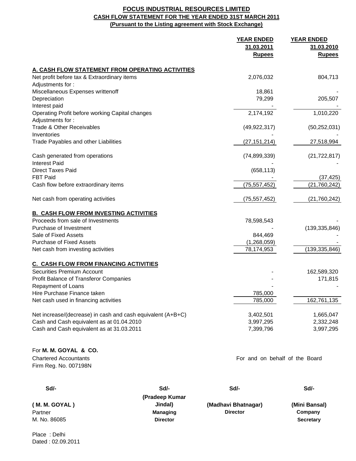#### **FOCUS INDUSTRIAL RESOURCES LIMITED CASH FLOW STATEMENT FOR THE YEAR ENDED 31ST MARCH 2011 (Pursuant to the Listing agreement with Stock Exchange)**

|                                                             | <b>YEAR ENDED</b><br>31.03.2011<br><b>Rupees</b> | <b>YEAR ENDED</b><br>31.03.2010<br><b>Rupees</b> |
|-------------------------------------------------------------|--------------------------------------------------|--------------------------------------------------|
| A. CASH FLOW STATEMENT FROM OPERATING ACTIVITIES            |                                                  |                                                  |
| Net profit before tax & Extraordinary items                 | 2,076,032                                        | 804,713                                          |
| Adjustments for:                                            |                                                  |                                                  |
| Miscellaneous Expenses writtenoff                           | 18,861                                           |                                                  |
| Depreciation                                                | 79,299                                           | 205,507                                          |
| Interest paid                                               |                                                  |                                                  |
| Operating Profit before working Capital changes             | 2,174,192                                        | 1,010,220                                        |
| Adjustments for:                                            |                                                  |                                                  |
| <b>Trade &amp; Other Receivables</b>                        | (49, 922, 317)                                   | (50, 252, 031)                                   |
| Inventories                                                 |                                                  |                                                  |
| Trade Payables and other Liabilities                        | (27, 151, 214)                                   | 27,518,994                                       |
| Cash generated from operations                              | (74, 899, 339)                                   | (21, 722, 817)                                   |
| <b>Interest Paid</b>                                        |                                                  |                                                  |
| <b>Direct Taxes Paid</b>                                    | (658, 113)                                       |                                                  |
| <b>FBT Paid</b>                                             |                                                  | (37, 425)                                        |
| Cash flow before extraordinary items                        | (75, 557, 452)                                   | (21, 760, 242)                                   |
| Net cash from operating activities                          | (75, 557, 452)                                   | (21,760,242)                                     |
| <b>B. CASH FLOW FROM INVESTING ACTIVITIES</b>               |                                                  |                                                  |
| Proceeds from sale of Investments                           | 78,598,543                                       |                                                  |
| Purchase of Investment                                      |                                                  | (139, 335, 846)                                  |
| Sale of Fixed Assets                                        | 844,469                                          |                                                  |
| <b>Purchase of Fixed Assets</b>                             | (1,268,059)                                      |                                                  |
| Net cash from investing activities                          | 78,174,953                                       | (139, 335, 846)                                  |
| <b>C. CASH FLOW FROM FINANCING ACTIVITIES</b>               |                                                  |                                                  |
| Securities Premium Account                                  |                                                  | 162,589,320                                      |
| Profit Balance of Transferor Companies                      |                                                  | 171,815                                          |
| Repayment of Loans                                          |                                                  |                                                  |
| Hire Purchase Finance taken                                 | 785,000                                          |                                                  |
| Net cash used in financing activities                       | 785,000                                          | 162,761,135                                      |
| Net increase/(decrease) in cash and cash equivalent (A+B+C) | 3,402,501                                        | 1,665,047                                        |
| Cash and Cash equivalent as at 01.04.2010                   | 3,997,295                                        | 2,332,248                                        |
| Cash and Cash equivalent as at 31.03.2011                   | 7,399,796                                        | 3,997,295                                        |
|                                                             |                                                  |                                                  |
| For M. M. GOYAL & CO.                                       |                                                  |                                                  |
| <b>Chartered Accountants</b>                                | For and on behalf of the Board                   |                                                  |
| Firm Reg. No. 007198N                                       |                                                  |                                                  |
|                                                             |                                                  |                                                  |

| Sd/-            | Sd/-                | Sd/-             |
|-----------------|---------------------|------------------|
| (Pradeep Kumar  |                     |                  |
| Jindal)         | (Madhavi Bhatnagar) | (Mini Bansal)    |
| <b>Managing</b> | <b>Director</b>     | Company          |
| <b>Director</b> |                     | <b>Secretary</b> |
|                 |                     |                  |

Place : Delhi Dated : 02.09.2011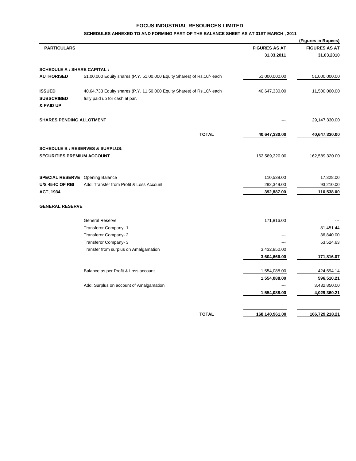|                                                 |                                                                                                          |                      | (Figures in Rupees)  |
|-------------------------------------------------|----------------------------------------------------------------------------------------------------------|----------------------|----------------------|
| <b>PARTICULARS</b>                              |                                                                                                          | <b>FIGURES AS AT</b> | <b>FIGURES AS AT</b> |
|                                                 |                                                                                                          | 31.03.2011           | 31.03.2010           |
| <b>SCHEDULE A : SHARE CAPITAL :</b>             |                                                                                                          |                      |                      |
| <b>AUTHORISED</b>                               | 51,00,000 Equity shares (P.Y. 51,00,000 Equity Shares) of Rs.10/- each                                   | 51,000,000.00        | 51,000,000.00        |
| <b>ISSUED</b><br><b>SUBSCRIBED</b><br>& PAID UP | 40,64,733 Equity shares (P.Y. 11,50,000 Equity Shares) of Rs.10/- each<br>fully paid up for cash at par. | 40,647,330.00        | 11,500,000.00        |
| <b>SHARES PENDING ALLOTMENT</b>                 |                                                                                                          |                      | 29,147,330.00        |
|                                                 | <b>TOTAL</b>                                                                                             | 40,647,330.00        | 40,647,330.00        |
| SECURITIES PREMIUM ACCOUNT                      | <b>SCHEDULE B: RESERVES &amp; SURPLUS:</b>                                                               | 162,589,320.00       | 162,589,320.00       |
| <b>SPECIAL RESERVE</b> Opening Balance          |                                                                                                          | 110,538.00           | 17,328.00            |
| U/S 45-IC OF RBI                                | Add: Transfer from Profit & Loss Account                                                                 | 282,349.00           | 93,210.00            |
| ACT, 1934                                       |                                                                                                          | 392,887.00           | 110,538.00           |
| <b>GENERAL RESERVE</b>                          |                                                                                                          |                      |                      |
|                                                 | <b>General Reserve</b>                                                                                   | 171,816.00           |                      |
|                                                 | Transferor Company- 1                                                                                    |                      | 81,451.44            |
|                                                 | Transferor Company-2                                                                                     |                      | 36,840.00            |
|                                                 | Transferor Company- 3                                                                                    | ---                  | 53,524.63            |
|                                                 | Transfer from surplus on Amalgamation                                                                    | 3,432,850.00         |                      |
|                                                 |                                                                                                          | 3,604,666.00         | 171,816.07           |
|                                                 | Balance as per Profit & Loss account                                                                     | 1,554,088.00         | 424,694.14           |
|                                                 |                                                                                                          | 1,554,088.00         | 596,510.21           |
|                                                 | Add: Surplus on account of Amalgamation                                                                  | ---                  | 3,432,850.00         |
|                                                 |                                                                                                          | 1,554,088.00         | 4,029,360.21         |
|                                                 | <b>TOTAL</b>                                                                                             |                      |                      |
|                                                 |                                                                                                          | 168,140,961.00       | 166,729,218.21       |

#### **SCHEDULES ANNEXED TO AND FORMING PART OF THE BALANCE SHEET AS AT 31ST MARCH , 2011**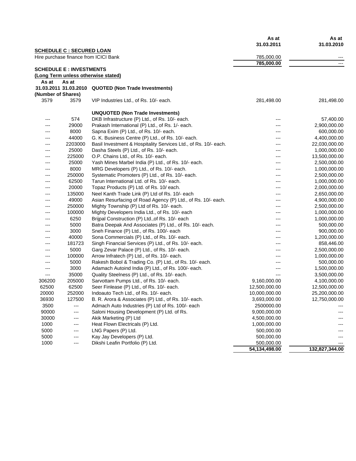|                    |                                  |                                                                 | As at<br>31.03.2011 | As at<br>31.03.2010 |
|--------------------|----------------------------------|-----------------------------------------------------------------|---------------------|---------------------|
|                    | <b>SCHEDULE C : SECURED LOAN</b> | Hire purchase finance from ICICI Bank                           | 785,000.00          | $---$               |
|                    |                                  |                                                                 | 785,000.00          |                     |
|                    | <b>SCHEDULE E: INVESTMENTS</b>   |                                                                 |                     |                     |
|                    |                                  | (Long Term unless otherwise stated)                             |                     |                     |
| As at              | As at                            |                                                                 |                     |                     |
|                    | 31.03.2011 31.03.2010            | <b>QUOTED (Non Trade Investments)</b>                           |                     |                     |
| (Number of Shares) |                                  |                                                                 |                     |                     |
| 3579               | 3579                             | VIP Industries Ltd., of Rs. 10/- each.                          | 281,498.00          | 281,498.00          |
|                    |                                  | <b>UNQUOTED (Non Trade Investments)</b>                         |                     |                     |
| ---                | 574                              | DKB Infrastructure (P) Ltd., of Rs. 10/- each.                  | ---                 | 57,400.00           |
| ---                | 29000                            | Prakash International (P) Ltd., of Rs. 1/- each.                | ---                 | 2,900,000.00        |
| ---                | 8000                             | Sapna Exim (P) Ltd., of Rs. 10/- each.                          | ---                 | 600,000.00          |
| ---                | 44000                            | G. K. Business Centre (P) Ltd., of Rs. 10/- each.               | ---                 | 4,400,000.00        |
| ---                | 2203000                          | Basil Investment & Hospitality Services Ltd., of Rs. 10/- each. | ---                 | 22,030,000.00       |
| ---                | 25000                            | Dasha Steels (P) Ltd., of Rs. 10/- each.                        |                     | 1,000,000.00        |
| ---                | 225000                           | O.P. Chains Ltd., of Rs. 10/- each.                             | ---                 | 13,500,000.00       |
| ---                | 25000                            | Yash Mines Marbel India (P) Ltd., of Rs. 10/- each.             |                     | 2,500,000.00        |
| ---                | 8000                             | MRG Developers (P) Ltd., of Rs. 10/- each.                      | ---                 | 1,000,000.00        |
| ---                | 250000                           | Systematic Promoters (P) Ltd., of Rs. 10/- each.                | ---                 | 2,500,000.00        |
| ---                | 62500                            | Tarun International Ltd. of Rs. 10/- each.                      | ---                 | 1,000,000.00        |
| ---                | 20000                            | Topaz Products (P) Ltd. of Rs. 10/ each.                        | ---                 | 2,000,000.00        |
| ---                | 135000                           | Neel Kanth Trade Link (P) Ltd of Rs. 10/- each                  | ---                 | 2,650,000.00        |
| ---                | 49000                            | Asian Resurfacing of Road Agency (P) Ltd., of Rs. 10/- each.    | ---                 | 4,900,000.00        |
| ---                | 250000                           | Mighty Township (P) Ltd of Rs. 10/- each.                       |                     | 2,500,000.00        |
| ---                | 100000                           | Mighty Developers India Ltd., of Rs. 10/- each                  | ---                 | 1,000,000.00        |
| ---                | 6250                             | Brijpal Construction (P) Ltd., of Rs. 10/- each                 | ---                 | 1,000,000.00        |
| ---                | 5000                             | Batra Deepak And Associates (P) Ltd., of Rs. 10/- each.         | ---                 | 500,000.00          |
| ---                | 3000                             | Sneh Finance (P) Ltd., of Rs. 100/- each                        | ---                 | 900,000.00          |
| ---                | 40000                            | Sona Commercials (P) Ltd., of Rs. 10/- each.                    | ---                 | 1,200,000.00        |
| ---                | 181723                           | Singh Financial Services (P) Ltd., of Rs. 10/- each.            | ---                 | 858,446.00          |
| ---                | 5000                             | Garg Zevar Palace (P) Ltd., of Rs. 10/- each.                   | ---                 | 2,500,000.00        |
| ---                | 100000                           | Arrow Infratech (P) Ltd., of Rs. 10/- each.                     | ---                 | 1,000,000.00        |
| ---                | 5000                             | Rakesh Bobol & Trading Co. (P) Ltd., of Rs. 10/- each.          |                     | 500,000.00          |
| ---                | 3000                             | Adamach Autoind India (P) Ltd., of Rs. 100/- each.              | ---                 | 1,500,000.00        |
| ---                | 35000                            | Quality Steelness (P) Ltd., of Rs. 10/- each.                   | ---                 | 3,500,000.00        |
| 306200             | 205000                           | Sarvottam Pumps Ltd., of Rs. 10/- each.                         | 9,160,000.00        | 4,100,000.00        |
| 62500              | 62500                            | Seer Finlease (P) Ltd., of Rs. 10/- each.                       | 12,500,000.00       | 12,500,000.00       |
| 20000              | 252000                           | Indoauto Tech Ltd., of Rs. 10/- each.                           | 10,000,000.00       | 25,200,000.00       |
| 36930              | 127500                           | B. R. Arora & Associates (P) Ltd., of Rs. 10/- each.            | 3,693,000.00        | 12,750,000.00       |
| 3500               | ---                              | Admach Auto Industries (P) Ltd of Rs. 100/- each                | 2500000.00          |                     |
| 90000              | $---$                            | Saloni Housing Development (P) Ltd. of Rs.                      | 9,000,000.00        |                     |
| 30000              | ---                              | Akik Marketing (P) Ltd                                          | 4,500,000.00        |                     |
| 1000               | $---$                            | Heat Flown Electricals (P) Ltd.                                 | 1,000,000.00        |                     |
| 5000               | $---$                            | LNG Papers (P) Ltd.                                             | 500,000.00          |                     |
| 5000               | $---$                            | Kay Jay Developers (P) Ltd.                                     | 500,000.00          |                     |
| 1000               | $---$                            | Dikshi Leafin Portfolio (P) Ltd.                                | 500,000.00          |                     |
|                    |                                  |                                                                 | 54,134,498.00       | 132,827,344.00      |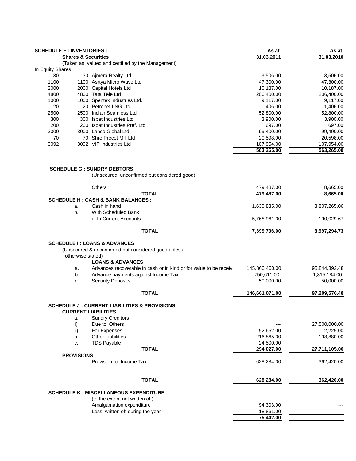| <b>SCHEDULE F: INVENTORIES:</b> |                                |                                                   | As at      | As at      |  |
|---------------------------------|--------------------------------|---------------------------------------------------|------------|------------|--|
|                                 | <b>Shares &amp; Securities</b> |                                                   | 31.03.2011 | 31.03.2010 |  |
|                                 |                                | (Taken as valued and certified by the Management) |            |            |  |
| In Equity Shares                |                                |                                                   |            |            |  |
| 30                              |                                | 30 Aimera Realty Ltd                              | 3,506.00   | 3,506.00   |  |
| 1100                            |                                | 1100 Asrtya Micro Wave Ltd                        | 47,300.00  | 47,300.00  |  |
| 2000                            |                                | 2000 Capital Hotels Ltd                           | 10,187.00  | 10,187.00  |  |
| 4800                            |                                | 4800 Tata Tele Ltd                                | 206,400.00 | 206,400.00 |  |
| 1000                            |                                | 1000 Spentex Industries Ltd.                      | 9,117.00   | 9,117.00   |  |
| 20                              |                                | 20 Petronet LNG Ltd                               | 1,406.00   | 1,406.00   |  |
| 2500                            |                                | 2500 Indian Seamless Ltd                          | 52,800.00  | 52,800.00  |  |
| 300                             |                                | 300 Ispat Industries Ltd                          | 3,900.00   | 3,900.00   |  |
| 200                             | 200                            | Ispat Industries Pref. Ltd                        | 697.00     | 697.00     |  |
| 3000                            |                                | 3000 Lanco Global Ltd                             | 99,400.00  | 99,400.00  |  |
| 70                              | 70                             | Shre Precot Mill Ltd                              | 20,598.00  | 20,598.00  |  |
| 3092                            |                                | 3092 VIP Industries Ltd                           | 107,954.00 | 107,954.00 |  |
|                                 |                                |                                                   | 563,265.00 | 563,265.00 |  |
|                                 |                                |                                                   |            |            |  |
|                                 |                                |                                                   |            |            |  |
|                                 |                                | <b>SCHEDULE G : SUNDRY DEBTORS</b>                |            |            |  |

(Unsecured, unconfirmed but considered good)

|                   |                                                                                       | 479,487.00     | 8,665.00                                                                |
|-------------------|---------------------------------------------------------------------------------------|----------------|-------------------------------------------------------------------------|
|                   | <b>TOTAL</b>                                                                          | 479,487.00     | 8,665.00                                                                |
|                   | <b>SCHEDULE H: CASH &amp; BANK BALANCES:</b>                                          |                |                                                                         |
| a.                | Cash in hand                                                                          | 1,630,835.00   | 3,807,265.06                                                            |
| b.                | With Scheduled Bank                                                                   |                |                                                                         |
|                   | i. In Current Accounts                                                                | 5,768,961.00   | 190,029.67                                                              |
|                   | <b>TOTAL</b>                                                                          | 7,399,796.00   | 3,997,294.73                                                            |
|                   | <b>SCHEDULE I: LOANS &amp; ADVANCES</b>                                               |                |                                                                         |
|                   | (Unsecured & unconfirmed but considered good unless                                   |                |                                                                         |
|                   | otherwise stated)                                                                     |                |                                                                         |
|                   | <b>LOANS &amp; ADVANCES</b>                                                           |                |                                                                         |
| a.                | Advances recoverable in cash or in kind or for value to be receive                    | 145,860,460.00 | 95,844,392.48                                                           |
| b.                | Advance payments against Income Tax                                                   | 750,611.00     | 1,315,184.00                                                            |
| c.                | <b>Security Deposits</b>                                                              | 50,000.00      | 50,000.00                                                               |
|                   |                                                                                       |                |                                                                         |
|                   | <b>TOTAL</b>                                                                          | 146,661,071.00 | 97,209,576.48                                                           |
|                   | <b>SCHEDULE J: CURRENT LIABILITIES &amp; PROVISIONS</b><br><b>CURRENT LIABILITIES</b> |                |                                                                         |
| a.                | <b>Sundry Creditors</b>                                                               |                |                                                                         |
| i)                | Due to Others                                                                         |                |                                                                         |
| ii)               | For Expenses                                                                          | 52,662.00      |                                                                         |
| b.                | <b>Other Liabilities</b>                                                              | 216,865.00     |                                                                         |
| c.                | <b>TDS Payable</b>                                                                    | 24,500.00      |                                                                         |
|                   | <b>TOTAL</b>                                                                          | 294,027.00     |                                                                         |
| <b>PROVISIONS</b> |                                                                                       |                |                                                                         |
|                   | Provision for Income Tax                                                              | 628,284.00     | 27,500,000.00<br>12,225.00<br>198,880.00<br>27,711,105.00<br>362,420.00 |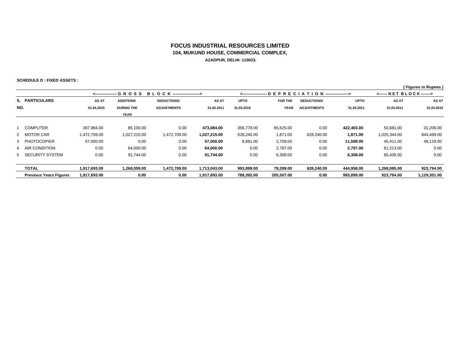#### **FOCUS INDUSTRIAL RESOURCES LIMITED104, MUKUND HOUSE, COMMERCIAL COMPLEX, AZADPUR, DELHI- 110033.**

**SCHEDULE D : FIXED ASSETS :**

 **( Figures in Rupees )**

|     |                               |              | <---------------- G R O S S | B L O C K -------------------> |              | <------ NET BLOCK------><br><------------------ D E P R E C I A T I O N ----------------> |             |                    |             |              |              |
|-----|-------------------------------|--------------|-----------------------------|--------------------------------|--------------|-------------------------------------------------------------------------------------------|-------------|--------------------|-------------|--------------|--------------|
|     | S. PARTICULARS                | AS AT        | <b>ADDITIONS</b>            | <b>DEDUCTIONS/</b>             | AS AT        | <b>UPTO</b>                                                                               | FOR THE     | <b>DEDUCTIONS/</b> | <b>UPTO</b> | AS AT        | AS AT        |
| NO. |                               | 01.04.2010   | <b>DURING THE</b>           | <b>ADJUSTMENTS</b>             | 31.03.2011   | 31.03.2010                                                                                | <b>YEAR</b> | <b>ADJUSTMENTS</b> | 31.03.2011  | 31.03.2011   | 31.03.2010   |
|     |                               |              | <b>YEAR</b>                 |                                |              |                                                                                           |             |                    |             |              |              |
|     | <b>COMPUTER</b>               | 387.984.00   | 85.100.00                   | 0.00                           | 473.084.00   | 356,778.00                                                                                | 65,625.00   | 0.00               | 422,403.00  | 50,681.00    | 31,206.00    |
|     | 2 MOTOR CAR                   | 1,472,709.00 | 1,027,215.00                | 1,472,709.00                   | 1,027,215.00 | 628,240.00                                                                                | 1,871.00    | 628,240.00         | 1,871.00    | 1,025,344.00 | 844,469.00   |
|     | 3 PHOTOCOPIER                 | 57,000.00    | 0.00                        | 0.00                           | 57,000.00    | 8,881.00                                                                                  | 2,708.00    | 0.00               | 11,589.00   | 45.411.00    | 48,119.00    |
|     | 4 AIR CONDITION               | 0.00         | 64,000.00                   | 0.00                           | 64,000.00    | 0.00                                                                                      | 2,787.00    | 0.00               | 2,787.00    | 61,213.00    | 0.00         |
|     | 5 SECURITY SYSTEM             | 0.00         | 91,744.00                   | 0.00                           | 91,744.00    | 0.00                                                                                      | 6,308.00    | 0.00               | 6,308.00    | 85,436.00    | 0.00         |
|     | <b>TOTAL</b>                  | 1.917.693.00 | 1.268.059.00                | 1.472.709.00                   | 1.713.043.00 | 993,899.00                                                                                | 79.299.00   | 628,240.00         | 444,958.00  | 1,268,085.00 | 923,794.00   |
|     | <b>Previous Years Figures</b> | 1.917.693.00 | 0.00                        | 0.00                           | 1.917.693.00 | 788.392.00                                                                                | 205.507.00  | 0.00               | 993.899.00  | 923.794.00   | 1,129,301.00 |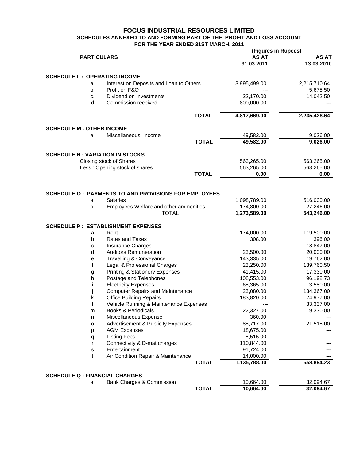#### **FOCUS INDUSTRIAL RESOURCES LIMITED SCHEDULES ANNEXED TO AND FORMING PART OF THE PROFIT AND LOSS ACCOUNT FOR THE YEAR ENDED 31ST MARCH, 2011 (Figures in Rupees)**

|                                         |                                                       |              | (Figures in Rupees) |                        |  |
|-----------------------------------------|-------------------------------------------------------|--------------|---------------------|------------------------|--|
| <b>PARTICULARS</b>                      |                                                       |              | <b>AS AT</b>        | <b>AS AT</b>           |  |
|                                         |                                                       |              | 31.03.2011          | 13.03.2010             |  |
| <b>SCHEDULE L : OPERATING INCOME</b>    |                                                       |              |                     |                        |  |
| a.                                      | Interest on Deposits and Loan to Others               |              | 3,995,499.00        | 2,215,710.64           |  |
| b.                                      | Profit on F&O                                         |              |                     | 5,675.50               |  |
| c.                                      | Dividend on Investments                               |              | 22,170.00           | 14,042.50              |  |
| d                                       | Commission received                                   |              | 800,000.00          |                        |  |
|                                         |                                                       | <b>TOTAL</b> | 4,817,669.00        | 2,235,428.64           |  |
| <b>SCHEDULE M: OTHER INCOME</b>         |                                                       |              |                     |                        |  |
| a.                                      | Miscellaneous Income                                  |              | 49,582.00           | 9,026.00               |  |
|                                         |                                                       | <b>TOTAL</b> | 49,582.00           | 9,026.00               |  |
|                                         |                                                       |              |                     |                        |  |
| <b>SCHEDULE N : VARIATION IN STOCKS</b> |                                                       |              |                     |                        |  |
|                                         | Closing stock of Shares                               |              | 563,265.00          | 563,265.00             |  |
|                                         | Less: Opening stock of shares                         |              | 563,265.00          | 563,265.00             |  |
|                                         |                                                       | <b>TOTAL</b> | 0.00                | 0.00                   |  |
|                                         |                                                       |              |                     |                        |  |
|                                         | SCHEDULE O : PAYMENTS TO AND PROVISIONS FOR EMPLOYEES |              |                     |                        |  |
| a.                                      | Salaries                                              |              | 1,098,789.00        | 516,000.00             |  |
| b.                                      | Employees Welfare and other ammenities                |              | 174,800.00          | 27,246.00              |  |
|                                         | <b>TOTAL</b>                                          |              | 1,273,589.00        | 543,246.00             |  |
|                                         |                                                       |              |                     |                        |  |
|                                         | <b>SCHEDULE P : ESTABLISHMENT EXPENSES</b>            |              |                     |                        |  |
| a                                       | Rent                                                  |              | 174,000.00          | 119,500.00             |  |
| b                                       | Rates and Taxes                                       |              | 308.00              | 396.00                 |  |
| с                                       | Insurance Charges<br><b>Auditors Remuneration</b>     |              | 23,500.00           | 18,847.00              |  |
| d                                       | Travelling & Conveyance                               |              | 143,335.00          | 20,000.00<br>19,762.00 |  |
| е<br>f                                  | Legal & Professional Charges                          |              | 23,250.00           | 139,760.50             |  |
|                                         | <b>Printing &amp; Stationery Expenses</b>             |              | 41,415.00           | 17,330.00              |  |
| g<br>h                                  | Postage and Telephones                                |              | 108,553.00          | 96,192.73              |  |
| -1                                      | <b>Electricity Expenses</b>                           |              | 65,365.00           | 3,580.00               |  |
|                                         | <b>Computer Repairs and Maintenance</b>               |              | 23,080.00           | 134,367.00             |  |
| k                                       | <b>Office Building Repairs</b>                        |              | 183,820.00          | 24,977.00              |  |
|                                         | Vehicle Running & Maintenance Expenses                |              |                     | 33,337.00              |  |
| m                                       | <b>Books &amp; Periodicals</b>                        |              | 22,327.00           | 9,330.00               |  |
| n                                       | Miscellaneous Expense                                 |              | 360.00              |                        |  |
| о                                       | <b>Advertisement &amp; Publicity Expenses</b>         |              | 85,717.00           | 21,515.00              |  |
| p                                       | <b>AGM Expenses</b>                                   |              | 18,675.00           |                        |  |
| q                                       | <b>Listing Fees</b>                                   |              | 5,515.00            |                        |  |
| r                                       | Connectivity & D-mat charges                          |              | 110,844.00          |                        |  |
| s                                       | Entertainment                                         |              | 91,724.00           |                        |  |
| t                                       | Air Condition Repair & Maintenance                    |              | 14,000.00           |                        |  |
|                                         |                                                       | <b>TOTAL</b> | 1,135,788.00        | 658,894.23             |  |
|                                         |                                                       |              |                     |                        |  |
| <b>SCHEDULE Q : FINANCIAL CHARGES</b>   |                                                       |              |                     |                        |  |
| a.                                      | Bank Charges & Commission                             |              | 10,664.00           | 32,094.67              |  |
|                                         |                                                       | <b>TOTAL</b> | 10,664.00           | 32,094.67              |  |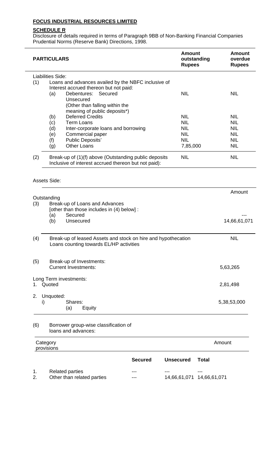#### **SCHEDULE R**

Disclosure of details required in terms of Paragraph 9BB of Non-Banking Financial Companies Prudential Norms (Reserve Bank) Directions, 1998.

| <b>PARTICULARS</b> | <b>Amount</b><br>outstanding<br><b>Rupees</b>                                                                             | <b>Amount</b><br>overdue<br><b>Rupees</b> |                          |                           |                          |
|--------------------|---------------------------------------------------------------------------------------------------------------------------|-------------------------------------------|--------------------------|---------------------------|--------------------------|
| (1)                | <b>Liabilities Side:</b><br>Loans and advances availed by the NBFC inclusive of<br>Interest accrued thereon but not paid: |                                           |                          |                           |                          |
|                    | Secured<br>Debentures:<br>(a)<br>Unsecured<br>(Other than falling within the<br>meaning of public deposits*)              |                                           | <b>NIL</b>               |                           | <b>NIL</b>               |
|                    | <b>Deferred Credits</b><br>(b)                                                                                            |                                           | <b>NIL</b>               |                           | <b>NIL</b>               |
|                    | <b>Term Loans</b><br>(c)                                                                                                  |                                           | <b>NIL</b>               |                           | <b>NIL</b>               |
|                    | (d)<br>Inter-corporate loans and borrowing                                                                                |                                           | <b>NIL</b>               |                           | <b>NIL</b>               |
|                    | Commercial paper<br>(e)<br><b>Public Deposits'</b><br>(f)                                                                 |                                           | <b>NIL</b><br><b>NIL</b> |                           | <b>NIL</b><br><b>NIL</b> |
|                    | <b>Other Loans</b><br>(g)                                                                                                 |                                           | 7,85,000                 |                           | <b>NIL</b>               |
| (2)                | Break-up of (1)(f) above (Outstanding public deposits<br>Inclusive of interest accrued thereon but not paid):             |                                           | <b>NIL</b>               |                           | <b>NIL</b>               |
|                    | Assets Side:                                                                                                              |                                           |                          |                           |                          |
|                    |                                                                                                                           |                                           |                          |                           | Amount                   |
|                    | Outstanding                                                                                                               |                                           |                          |                           |                          |
| (3)                | Break-up of Loans and Advances<br>[other than those includes in (4) below] :                                              |                                           |                          |                           |                          |
|                    | Secured<br>(a)                                                                                                            |                                           |                          |                           |                          |
|                    | (b)<br>Unsecured                                                                                                          |                                           |                          |                           | 14,66,61,071             |
|                    |                                                                                                                           |                                           |                          |                           |                          |
| (4)                | Break-up of leased Assets and stock on hire and hypothecation<br>Loans counting towards EL/HP activities                  |                                           |                          |                           | <b>NIL</b>               |
| (5)                | Break-up of Investments:<br><b>Current Investments:</b>                                                                   |                                           |                          |                           | 5,63,265                 |
| 1.                 | Long Term investments:<br>Quoted                                                                                          |                                           |                          |                           | 2,81,498                 |
| 2.<br>i)           | Unquoted:<br>Shares:<br>(a)<br>Equity                                                                                     |                                           |                          |                           | 5,38,53,000              |
| (6)                | Borrower group-wise classification of<br>loans and advances:                                                              |                                           |                          |                           |                          |
|                    | Category<br>provisions                                                                                                    |                                           |                          | Amount                    |                          |
|                    |                                                                                                                           | <b>Secured</b>                            | <b>Unsecured</b>         | <b>Total</b>              |                          |
| 1.                 | <b>Related parties</b>                                                                                                    |                                           |                          |                           |                          |
| 2.                 | Other than related parties                                                                                                |                                           |                          | 14,66,61,071 14,66,61,071 |                          |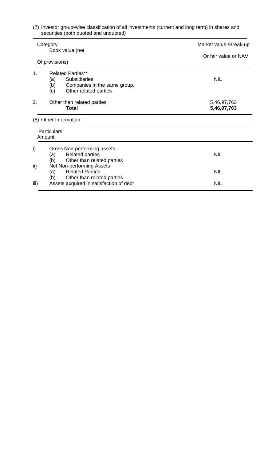| (7) Investor group-wise classification of all investments (current and long term) in shares and |  |  |
|-------------------------------------------------------------------------------------------------|--|--|
| securities (both quoted and unquoted)                                                           |  |  |

|      | Category<br>Book value (net                                                                       | Market value /Break-up     |
|------|---------------------------------------------------------------------------------------------------|----------------------------|
|      |                                                                                                   | Or fair value or NAV       |
|      | Of provisions)                                                                                    |                            |
| 1.   | <b>Related Parties**</b>                                                                          |                            |
|      | <b>Subsidiaries</b><br>(a)<br>(b)<br>Companies in the same group.<br>Other related parties<br>(c) | <b>NIL</b>                 |
| 2.   | Other than related parties<br><b>Total</b>                                                        | 5,46,97,763<br>5,46,97,763 |
|      | (8) Other Information                                                                             |                            |
|      | <b>Particulars</b><br>Amount                                                                      |                            |
| i)   | Gross Non-performing assets<br>(a)<br><b>Related parties</b><br>Other than related parties<br>(b) | <b>NIL</b>                 |
| ii)  | Net Non-performing Assets<br><b>Related Parties</b><br>(a)<br>(b)<br>Other than related parties   | <b>NIL</b>                 |
| iii) | Assets acquired in satisfaction of debt                                                           | <b>NIL</b>                 |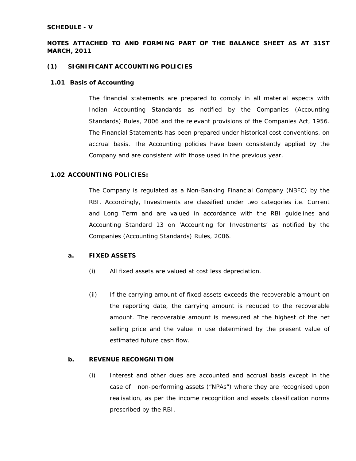#### **SCHEDULE - V**

#### **NOTES ATTACHED TO AND FORMING PART OF THE BALANCE SHEET AS AT 31ST MARCH, 2011**

#### **(1) SIGNIFICANT ACCOUNTING POLICIES**

#### **1.01 Basis of Accounting**

The financial statements are prepared to comply in all material aspects with Indian Accounting Standards as notified by the Companies (Accounting Standards) Rules, 2006 and the relevant provisions of the Companies Act, 1956. The Financial Statements has been prepared under historical cost conventions, on accrual basis. The Accounting policies have been consistently applied by the Company and are consistent with those used in the previous year.

#### **1.02 ACCOUNTING POLICIES:**

The Company is regulated as a Non-Banking Financial Company (NBFC) by the RBI. Accordingly, Investments are classified under two categories i.e. Current and Long Term and are valued in accordance with the RBI guidelines and Accounting Standard 13 on 'Accounting for Investments' as notified by the Companies (Accounting Standards) Rules, 2006.

#### **a. FIXED ASSETS**

- (i) All fixed assets are valued at cost less depreciation.
- (ii) If the carrying amount of fixed assets exceeds the recoverable amount on the reporting date, the carrying amount is reduced to the recoverable amount. The recoverable amount is measured at the highest of the net selling price and the value in use determined by the present value of estimated future cash flow.

#### **b. REVENUE RECONGNITION**

(i)Interest and other dues are accounted and accrual basis except in the case of non-performing assets ("NPAs") where they are recognised upon realisation, as per the income recognition and assets classification norms prescribed by the RBI.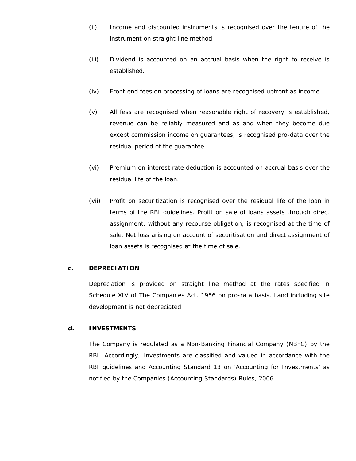- (ii) Income and discounted instruments is recognised over the tenure of the instrument on straight line method.
- (iii) Dividend is accounted on an accrual basis when the right to receive is established.
- (iv) Front end fees on processing of loans are recognised upfront as income.
- (v) All fess are recognised when reasonable right of recovery is established, revenue can be reliably measured and as and when they become due except commission income on guarantees, is recognised pro-data over the residual period of the guarantee.
- (vi) Premium on interest rate deduction is accounted on accrual basis over the residual life of the loan.
- (vii) Profit on securitization is recognised over the residual life of the loan in terms of the RBI guidelines. Profit on sale of loans assets through direct assignment, without any recourse obligation, is recognised at the time of sale. Net loss arising on account of securitisation and direct assignment of loan assets is recognised at the time of sale.

#### **c. DEPRECIATION**

Depreciation is provided on straight line method at the rates specified in Schedule XIV of The Companies Act, 1956 on pro-rata basis. Land including site development is not depreciated.

#### **d. INVESTMENTS**

The Company is regulated as a Non-Banking Financial Company (NBFC) by the RBI. Accordingly, Investments are classified and valued in accordance with the RBI guidelines and Accounting Standard 13 on 'Accounting for Investments' as notified by the Companies (Accounting Standards) Rules, 2006.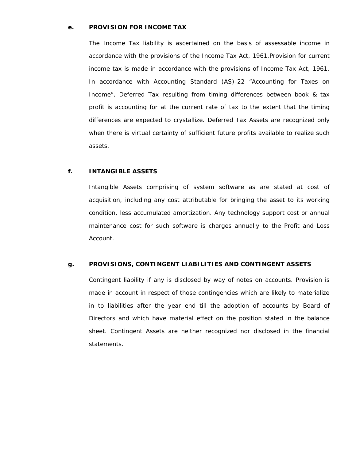#### **e. PROVISION FOR INCOME TAX**

The Income Tax liability is ascertained on the basis of assessable income in accordance with the provisions of the Income Tax Act, 1961.Provision for current income tax is made in accordance with the provisions of Income Tax Act, 1961. In accordance with Accounting Standard (AS)-22 "Accounting for Taxes on Income", Deferred Tax resulting from timing differences between book & tax profit is accounting for at the current rate of tax to the extent that the timing differences are expected to crystallize. Deferred Tax Assets are recognized only when there is virtual certainty of sufficient future profits available to realize such assets.

#### **f. INTANGIBLE ASSETS**

Intangible Assets comprising of system software as are stated at cost of acquisition, including any cost attributable for bringing the asset to its working condition, less accumulated amortization. Any technology support cost or annual maintenance cost for such software is charges annually to the Profit and Loss Account.

#### **g. PROVISIONS, CONTINGENT LIABILITIES AND CONTINGENT ASSETS**

Contingent liability if any is disclosed by way of notes on accounts. Provision is made in account in respect of those contingencies which are likely to materialize in to liabilities after the year end till the adoption of accounts by Board of Directors and which have material effect on the position stated in the balance sheet. Contingent Assets are neither recognized nor disclosed in the financial statements.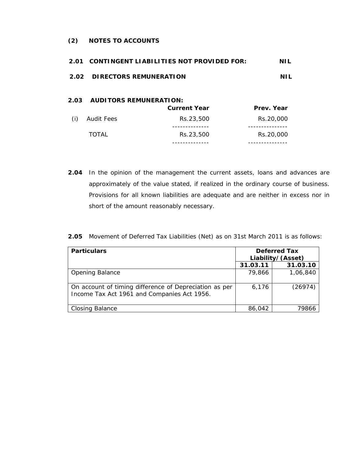#### **(2) NOTES TO ACCOUNTS**

| 2.01                        |                               | <b>CONTINGENT LIABILITIES NOT PROVIDED FOR:</b> | NIL            |
|-----------------------------|-------------------------------|-------------------------------------------------|----------------|
| 2.02 DIRECTORS REMUNERATION |                               | NH.                                             |                |
| 2.03                        | <b>AUDITORS REMUNERATION:</b> | <b>Current Year</b>                             | Prev. Year     |
| (i)                         | Audit Fees                    | Rs.23,500                                       | Rs.20,000      |
|                             | TOTAL                         | ------------<br>Rs.23,500<br>.                  | .<br>Rs.20,000 |

**2.04** In the opinion of the management the current assets, loans and advances are approximately of the value stated, if realized in the ordinary course of business. Provisions for all known liabilities are adequate and are neither in excess nor in short of the amount reasonably necessary.

|  | <b>2.05</b> Movement of Deferred Tax Liabilities (Net) as on 31st March 2011 is as follows: |  |  |  |  |
|--|---------------------------------------------------------------------------------------------|--|--|--|--|
|--|---------------------------------------------------------------------------------------------|--|--|--|--|

| <b>Particulars</b>                                                                                    |          | <b>Deferred Tax</b><br>Liability/(Asset) |
|-------------------------------------------------------------------------------------------------------|----------|------------------------------------------|
|                                                                                                       | 31.03.11 | 31.03.10                                 |
| <b>Opening Balance</b>                                                                                | 79,866   | 1,06,840                                 |
| On account of timing difference of Depreciation as per<br>Income Tax Act 1961 and Companies Act 1956. | 6,176    | (26974)                                  |
| <b>Closing Balance</b>                                                                                | 86,042   | 79866                                    |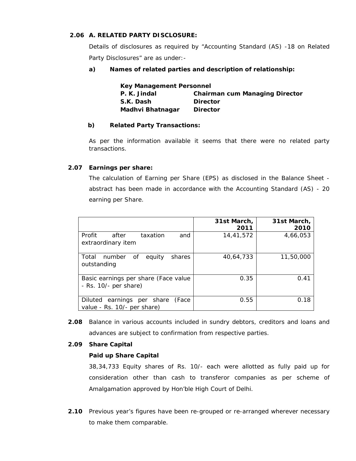#### **2.06 A. RELATED PARTY DISCLOSURE:**

Details of disclosures as required by "Accounting Standard (AS) -18 on Related Party Disclosures" are as under:-

#### **a) Names of related parties and description of relationship:**

| <b>Key Management Personnel</b> |                                       |  |
|---------------------------------|---------------------------------------|--|
| P. K. Jindal                    | <b>Chairman cum Managing Director</b> |  |
| S.K. Dash                       | <b>Director</b>                       |  |
| Madhvi Bhatnagar                | <b>Director</b>                       |  |

#### **b) Related Party Transactions:**

As per the information available it seems that there were no related party transactions.

#### **2.07 Earnings per share:**

The calculation of Earning per Share (EPS) as disclosed in the Balance Sheet abstract has been made in accordance with the Accounting Standard (AS) - 20 earning per Share.

|                                                                    | 31st March,<br>2011 | 31st March,<br>2010 |
|--------------------------------------------------------------------|---------------------|---------------------|
| Profit<br>after<br>taxation<br>and<br>extraordinary item           | 14,41,572           | 4,66,053            |
| number of<br>equity<br>Total<br>shares<br>outstanding              | 40,64,733           | 11,50,000           |
| Basic earnings per share (Face value<br>$-$ Rs. 10/ $-$ per share) | 0.35                | 0.41                |
| Diluted earnings per share (Face<br>value - Rs. 10/- per share)    | 0.55                | 0.18                |

**2.08** Balance in various accounts included in sundry debtors, creditors and loans and advances are subject to confirmation from respective parties.

#### **2.09 Share Capital**

#### **Paid up Share Capital**

 38,34,733 Equity shares of Rs. 10/- each were allotted as fully paid up for consideration other than cash to transferor companies as per scheme of Amalgamation approved by Hon'ble High Court of Delhi.

**2.10** Previous year's figures have been re-grouped or re-arranged wherever necessary to make them comparable.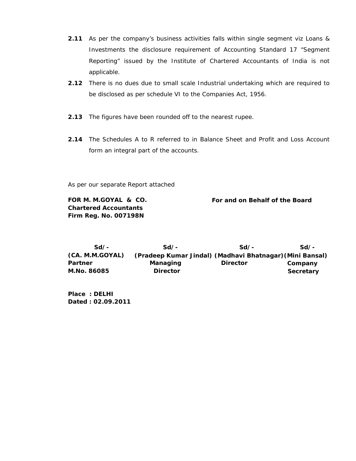- **2.11** As per the company's business activities falls within single segment viz Loans & Investments the disclosure requirement of Accounting Standard 17 "Segment Reporting" issued by the Institute of Chartered Accountants of India is not applicable.
- **2.12** There is no dues due to small scale Industrial undertaking which are required to be disclosed as per schedule VI to the Companies Act, 1956.
- **2.13** The figures have been rounded off to the nearest rupee.
- **2.14** The Schedules A to R referred to in Balance Sheet and Profit and Loss Account form an integral part of the accounts.

As per our separate Report attached

**Chartered Accountants Firm Reg. No. 007198N** 

**FOR M. M.GOYAL & CO. For and on Behalf of the Board**

 **Sd/- Sd/- Sd/- Sd/- (CA. M.M.GOYAL) (Pradeep Kumar Jindal) (Madhavi Bhatnagar)(Mini Bansal) Partner Company Managing Director Company** M.No. 86085 Director **Director** Secretary

**Place : DELHI Dated : 02.09.2011**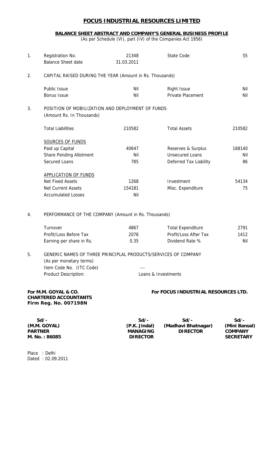#### **BALANCE SHEET ABSTRACT AND COMPANY'S GENERAL BUSINESS PROFILE**

(As per Schedule (VI), part (IV) of the Companies Act 1956)

| 1. | Registration No.<br><b>Balance Sheet date</b>                                 | 21348<br>31.03.2011 | State Code             | 55     |
|----|-------------------------------------------------------------------------------|---------------------|------------------------|--------|
| 2. | CAPITAL RAISED DURING THE YEAR (Amount in Rs. Thousands)                      |                     |                        |        |
|    | Public Issue                                                                  | Nil                 | <b>Right Issue</b>     | Nil    |
|    | <b>Bonus Issue</b>                                                            | Nil                 | Private Placement      | Nil    |
| 3. | POSITION OF MOBILIZATION AND DEPLOYMENT OF FUNDS<br>(Amount Rs. In Thousands) |                     |                        |        |
|    | <b>Total Liabilities</b>                                                      | 210582              | <b>Total Assets</b>    | 210582 |
|    | <b>SOURCES OF FUNDS</b>                                                       |                     |                        |        |
|    | Paid up Capital                                                               | 40647               | Reserves & Surplus     | 168140 |
|    | <b>Share Pending Allotment</b>                                                | Nil                 | <b>Unsecured Loans</b> | Nil    |
|    | Secured Loans                                                                 | 785                 | Deferred Tax Liability | 86     |
|    | <b>APPLICATION OF FUNDS</b>                                                   |                     |                        |        |
|    | <b>Net Fixed Assets</b>                                                       | 1268                | Investment             | 54134  |
|    | <b>Net Current Assets</b>                                                     | 154181              | Misc. Expenditure      | 75     |
|    | <b>Accumulated Losses</b>                                                     | Nil                 |                        |        |
| 4. | PERFORMANCE OF THE COMPANY (Amount in Rs. Thousands)                          |                     |                        |        |

| <b>Lurnover</b>          | 4867 | <b>Total Expenditure</b> | 2791 |
|--------------------------|------|--------------------------|------|
| Profit/Loss Before Tax   | 2076 | Profit/Loss After Tax    | 1412 |
| Earning per share in Rs. | 0.35 | Dividend Rate %          | Nil  |

5. GENERIC NAMES OF THREE PRINCIPLAL PRODUCTS/SERVICES OF COMPANY (As per monetary terms) Item Code No. (ITC Code) Product Description: Loans & Investments

#### For M.M. GOYAL & CO. **For FOCUS INDUSTRIAL RESOURCES LTD.**

### **CHARTERED ACCOUNTANTS Firm Reg. No. 007198N**

 **Sd/- Sd/- Sd/- Sd/- (M.M. GOYAL) (P.K. Jindal) (Madhavi Bhatnagar) (Mini Bansal) PIRECTOR** M. No. : 86085 **DIRECTOR DIRECTOR** SECRETARY

Place : Delhi Dated : 02.09.2011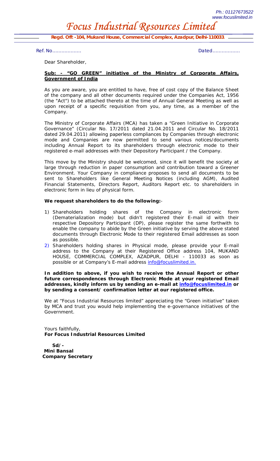*Focus Industrial Resources Limited* 

**Regd. Off***: -104, Mukand House, Commercial Complex, Azadpur, Delhi-110033.* 

*Ref. No………………. Dated………………*

Dear Shareholder,

#### **Sub: - "GO GREEN" initiative of the Ministry of Corporate Affairs, Government of India**

As you are aware, you are entitled to have, free of cost copy of the Balance Sheet of the company and all other documents required under the Companies Act, 1956 (the "Act") to be attached thereto at the time of Annual General Meeting as well as upon receipt of a specific requisition from you, any time, as a member of the Company.

The Ministry of Corporate Affairs (MCA) has taken a "Green Initiative in Corporate Governance" (Circular No. 17/2011 dated 21.04.2011 and Circular No. 18/2011 dated 29.04.2011) allowing paperless compliances by Companies through electronic mode and Companies are now permitted to send various notices/documents including Annual Report to its shareholders through electronic mode to their registered e-mail addresses with their Depository Participant / the Company.

This move by the Ministry should be welcomed, since it will benefit the society at large through reduction in paper consumption and contribution toward a Greener Environment. Your Company in compliance proposes to send all documents to be sent to Shareholders like General Meeting Notices (including AGM), Audited Financial Statements, Directors Report, Auditors Report etc. to shareholders in electronic form in lieu of physical form.

#### **We request shareholders to do the following:**-

- 1) Shareholders holding shares of the Company in electronic form (Dematerialization mode) but didn't registered their E-mail id with their respective Depository Participant (DP), please register the same forthwith to enable the company to abide by the Green initiative by serving the above stated documents through Electronic Mode to their registered Email addresses as soon as possible.
- 2) Shareholders holding shares in Physical mode, please provide your E-mail address to the Company at their Registered Office address 104, MUKAND HOUSE, COMMERCIAL COMPLEX, AZADPUR, DELHI - 110033 as soon as possible or at Company's E-mail address info@focuslimited.in.

#### In addition to above, if you wish to receive the Annual Report or other *future correspondences through Electronic Mode at your registered Email addresses, kindly inform us by sending an e-mail at info@focuslimited.in or by sending a consent/ confirmation letter at our registered office.*

We at "Focus Industrial Resources limited" appreciating the "Green initiative" taken by MCA and trust you would help implementing the e-governance initiatives of the Government.

Yours faithfully, **For Focus Industrial Resources Limited** 

 **Sd/- Mini Bansal Company Secretary**